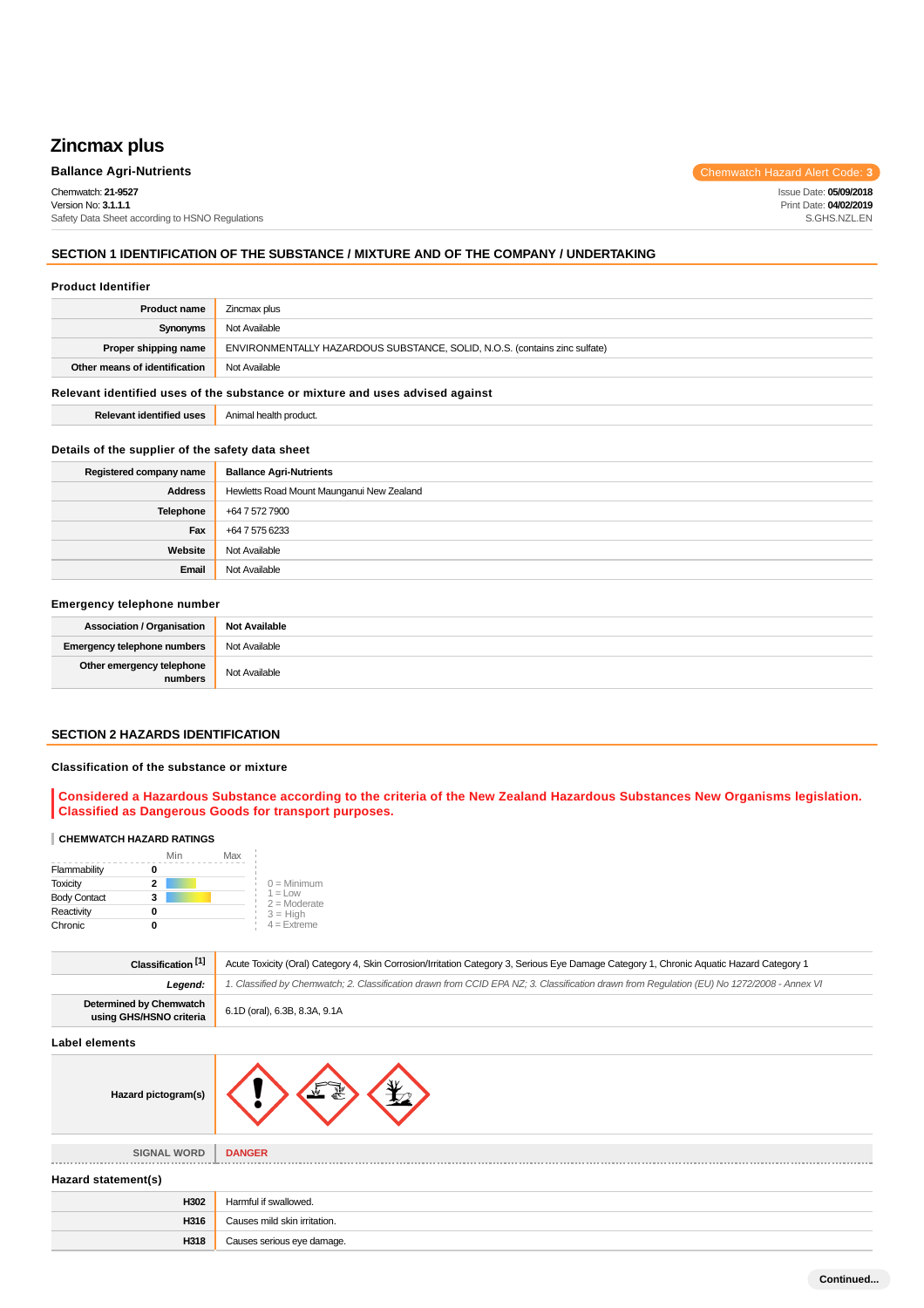# **Zincmax plus**

Chemwatch: **21-9527** Version No: **3.1.1.1** Safety Data Sheet according to HSNO Regulations

**Ballance Agri-Nutrients Chemwatch Hazard Alert Code: 3** 

Issue Date: **05/09/2018** Print Date: **04/02/2019** S.GHS.NZL.EN

## **SECTION 1 IDENTIFICATION OF THE SUBSTANCE / MIXTURE AND OF THE COMPANY / UNDERTAKING**

#### **Product Identifier**

| Zincmax plus                                                               |
|----------------------------------------------------------------------------|
| Not Available                                                              |
| ENVIRONMENTALLY HAZARDOUS SUBSTANCE, SOLID, N.O.S. (contains zinc sulfate) |
| Not Available                                                              |
|                                                                            |

## **Relevant identified uses of the substance or mixture and uses advised against**

| <b>Relevant identified uses</b> | Animal health product. |
|---------------------------------|------------------------|
|---------------------------------|------------------------|

## **Details of the supplier of the safety data sheet**

| Registered company name | <b>Ballance Agri-Nutrients</b>            |
|-------------------------|-------------------------------------------|
| <b>Address</b>          | Hewletts Road Mount Maunganui New Zealand |
| Telephone               | +64 7 572 7900                            |
| Fax                     | +64 7 575 6233                            |
| Website                 | Not Available                             |
| Email                   | Not Available                             |

## **Emergency telephone number**

| <b>Association / Organisation</b>    | <b>Not Available</b> |
|--------------------------------------|----------------------|
| <b>Emergency telephone numbers</b>   | Not Available        |
| Other emergency telephone<br>numbers | Not Available        |

## **SECTION 2 HAZARDS IDENTIFICATION**

#### **Classification of the substance or mixture**

## **Considered a Hazardous Substance according to the criteria of the New Zealand Hazardous Substances New Organisms legislation. Classified as Dangerous Goods for transport purposes.**

## **CHEMWATCH HAZARD RATINGS**

|                     | Min | Max |                             |
|---------------------|-----|-----|-----------------------------|
| Flammability        |     |     |                             |
| <b>Toxicity</b>     | 2   |     | $0 =$ Minimum               |
| <b>Body Contact</b> | 3   |     | $1 =$ Low<br>$2 =$ Moderate |
| Reactivity          |     |     | $3 = High$                  |
| Chronic             |     |     | $4 =$ Extreme               |

**H318** Causes serious eye damage.

| Classification <sup>[1]</sup>                      | Acute Toxicity (Oral) Category 4, Skin Corrosion/Irritation Category 3, Serious Eye Damage Category 1, Chronic Aquatic Hazard Category 1   |  |
|----------------------------------------------------|--------------------------------------------------------------------------------------------------------------------------------------------|--|
| Leaend:                                            | 1. Classified by Chemwatch; 2. Classification drawn from CCID EPA NZ; 3. Classification drawn from Requlation (EU) No 1272/2008 - Annex VI |  |
| Determined by Chemwatch<br>using GHS/HSNO criteria | 6.1D (oral), 6.3B, 8.3A, 9.1A                                                                                                              |  |

## **Label elements**

| Label elements      |                              |
|---------------------|------------------------------|
| Hazard pictogram(s) |                              |
| <b>SIGNAL WORD</b>  | <b>DANGER</b>                |
| Hazard statement(s) |                              |
| H302                | Harmful if swallowed.        |
| H316                | Causes mild skin irritation. |

**Continued...**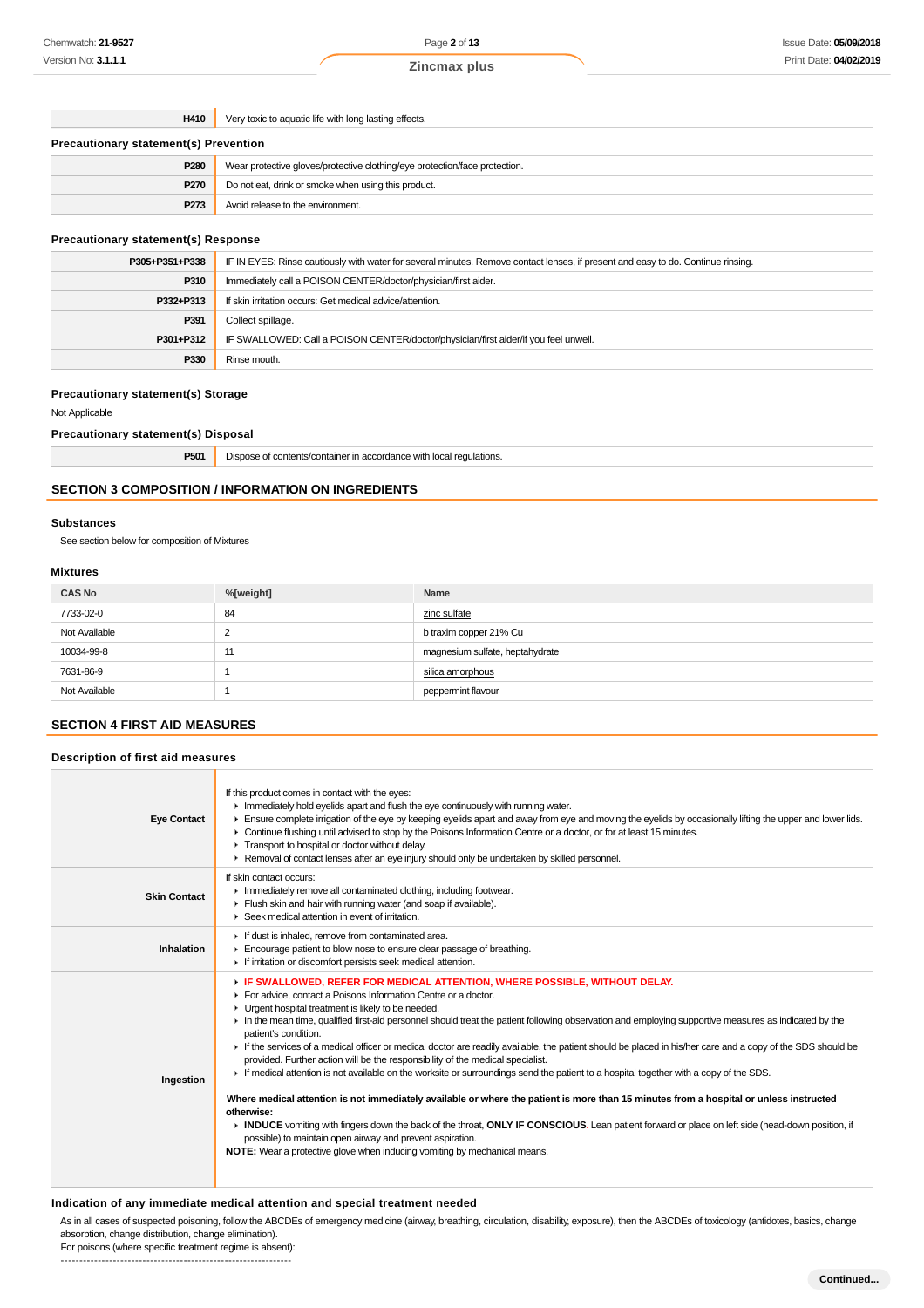**H410** Very toxic to aquatic life with long lasting effects.

| <b>Precautionary statement(s) Prevention</b> |                                                                            |  |
|----------------------------------------------|----------------------------------------------------------------------------|--|
| P280                                         | Wear protective gloves/protective clothing/eye protection/face protection. |  |
| <b>P270</b>                                  | Do not eat, drink or smoke when using this product.                        |  |
| P273                                         | Avoid release to the environment.                                          |  |

#### **Precautionary statement(s) Response**

| P305+P351+P338 | IF IN EYES: Rinse cautiously with water for several minutes. Remove contact lenses, if present and easy to do. Continue rinsing. |
|----------------|----------------------------------------------------------------------------------------------------------------------------------|
| P310           | Immediately call a POISON CENTER/doctor/physician/first aider.                                                                   |
| P332+P313      | If skin irritation occurs: Get medical advice/attention.                                                                         |
| P391           | Collect spillage.                                                                                                                |
| P301+P312      | IF SWALLOWED: Call a POISON CENTER/doctor/physician/first aider/if you feel unwell.                                              |
| P330           | Rinse mouth.                                                                                                                     |

## **Precautionary statement(s) Storage**

Not Applicable

**Precautionary statement(s) Disposal**

| P501 | - -<br>`ainer in accordance with local regulations.<br>t contents/container<br>100000<br>snose<br>. . |
|------|-------------------------------------------------------------------------------------------------------|
|------|-------------------------------------------------------------------------------------------------------|

## **SECTION 3 COMPOSITION / INFORMATION ON INGREDIENTS**

## **Substances**

See section below for composition of Mixtures

## **Mixtures**

| <b>CAS No</b> | %[weight] | Name                            |
|---------------|-----------|---------------------------------|
| 7733-02-0     | 84        | zinc sulfate                    |
| Not Available | ◠<br>∼    | b traxim copper 21% Cu          |
| 10034-99-8    | 11        | magnesium sulfate, heptahydrate |
| 7631-86-9     |           | silica amorphous                |
| Not Available |           | peppermint flavour              |

## **SECTION 4 FIRST AID MEASURES**

## **Description of first aid measures**

| <b>Eye Contact</b>  | If this product comes in contact with the eyes:<br>Inmediately hold eyelids apart and flush the eye continuously with running water.<br>Ensure complete irrigation of the eye by keeping eyelids apart and away from eye and moving the eyelids by occasionally lifting the upper and lower lids.<br>▶ Continue flushing until advised to stop by the Poisons Information Centre or a doctor, or for at least 15 minutes.<br>Transport to hospital or doctor without delay.<br>► Removal of contact lenses after an eye injury should only be undertaken by skilled personnel.                                                                                                                                                                                                                                                                                                                                                                                                                                                                                                                                                                                                                                                    |
|---------------------|-----------------------------------------------------------------------------------------------------------------------------------------------------------------------------------------------------------------------------------------------------------------------------------------------------------------------------------------------------------------------------------------------------------------------------------------------------------------------------------------------------------------------------------------------------------------------------------------------------------------------------------------------------------------------------------------------------------------------------------------------------------------------------------------------------------------------------------------------------------------------------------------------------------------------------------------------------------------------------------------------------------------------------------------------------------------------------------------------------------------------------------------------------------------------------------------------------------------------------------|
| <b>Skin Contact</b> | If skin contact occurs:<br>In mediately remove all contaminated clothing, including footwear.<br>Flush skin and hair with running water (and soap if available).<br>▶ Seek medical attention in event of irritation.                                                                                                                                                                                                                                                                                                                                                                                                                                                                                                                                                                                                                                                                                                                                                                                                                                                                                                                                                                                                              |
| Inhalation          | If dust is inhaled, remove from contaminated area.<br>Encourage patient to blow nose to ensure clear passage of breathing.<br>If irritation or discomfort persists seek medical attention.                                                                                                                                                                                                                                                                                                                                                                                                                                                                                                                                                                                                                                                                                                                                                                                                                                                                                                                                                                                                                                        |
| Ingestion           | F IF SWALLOWED, REFER FOR MEDICAL ATTENTION, WHERE POSSIBLE, WITHOUT DELAY.<br>For advice, contact a Poisons Information Centre or a doctor.<br>• Urgent hospital treatment is likely to be needed.<br>In the mean time, qualified first-aid personnel should treat the patient following observation and employing supportive measures as indicated by the<br>patient's condition.<br>If the services of a medical officer or medical doctor are readily available, the patient should be placed in his/her care and a copy of the SDS should be<br>provided. Further action will be the responsibility of the medical specialist.<br>If medical attention is not available on the worksite or surroundings send the patient to a hospital together with a copy of the SDS.<br>Where medical attention is not immediately available or where the patient is more than 15 minutes from a hospital or unless instructed<br>otherwise:<br>INDUCE vomiting with fingers down the back of the throat, ONLY IF CONSCIOUS. Lean patient forward or place on left side (head-down position, if<br>possible) to maintain open airway and prevent aspiration.<br>NOTE: Wear a protective glove when inducing vomiting by mechanical means. |

#### **Indication of any immediate medical attention and special treatment needed**

As in all cases of suspected poisoning, follow the ABCDEs of emergency medicine (airway, breathing, circulation, disability, exposure), then the ABCDEs of toxicology (antidotes, basics, change absorption, change distribution, change elimination).

For poisons (where specific treatment regime is absent): --------------------------------------------------------------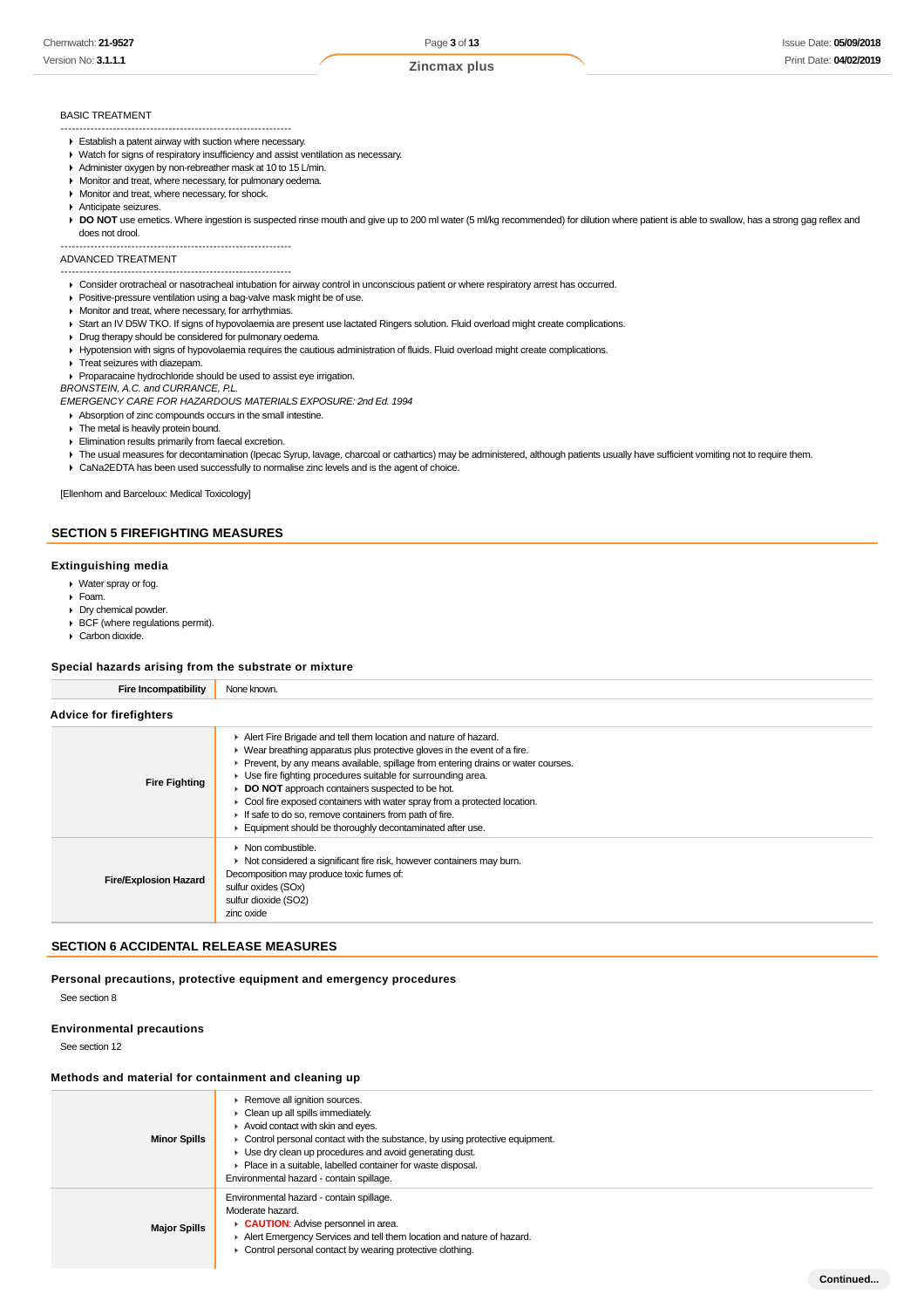**Continued...**

#### BASIC TREATMENT

- -------------------------------------------------------------- Establish a patent airway with suction where necessary.
- Watch for signs of respiratory insufficiency and assist ventilation as necessary.
- Administer oxygen by non-rebreather mask at 10 to 15 L/min.
- **Monitor and treat, where necessary, for pulmonary oedema.**
- **Monitor and treat, where necessary, for shock.**
- Anticipate seizures.
- DO NOT use emetics. Where ingestion is suspected rinse mouth and give up to 200 ml water (5 ml/kg recommended) for dilution where patient is able to swallow, has a strong gag reflex and does not drool.

-------------------------------------------------------------- ADVANCED TREATMENT

#### --------------------------------------------------------------

- Consider orotracheal or nasotracheal intubation for airway control in unconscious patient or where respiratory arrest has occurred.
- Positive-pressure ventilation using a bag-valve mask might be of use.
- **Monitor and treat, where necessary, for arrhythmias.**
- ▶ Start an IV D5W TKO. If signs of hypovolaemia are present use lactated Ringers solution. Fluid overload might create complications.
- Drug therapy should be considered for pulmonary oedema.
- Hypotension with signs of hypovolaemia requires the cautious administration of fluids. Fluid overload might create complications.
- **F** Treat seizures with diazepam.
- Proparacaine hydrochloride should be used to assist eye irrigation.

BRONSTEIN, A.C. and CURRANCE, P.L.

EMERGENCY CARE FOR HAZARDOUS MATERIALS EXPOSURE: 2nd Ed. 1994

- Absorption of zinc compounds occurs in the small intestine.
- **The metal is heavily protein bound.**
- **Elimination results primarily from faecal excretion.**
- The usual measures for decontamination (Ipecac Syrup, lavage, charcoal or cathartics) may be administered, although patients usually have sufficient vomiting not to require them.
- CaNa2EDTA has been used successfully to normalise zinc levels and is the agent of choice.

[Ellenhorn and Barceloux: Medical Toxicology]

#### **SECTION 5 FIREFIGHTING MEASURES**

#### **Extinguishing media**

- Water spray or fog.
- Foam.
- Dry chemical powder.
- BCF (where regulations permit). Carbon dioxide.
- 

#### **Special hazards arising from the substrate or mixture**

| <b>Fire Incompatibility</b>    | None known.                                                                                                                                                                                                                                                                                                                                                                                                                                                                                                                                                                  |
|--------------------------------|------------------------------------------------------------------------------------------------------------------------------------------------------------------------------------------------------------------------------------------------------------------------------------------------------------------------------------------------------------------------------------------------------------------------------------------------------------------------------------------------------------------------------------------------------------------------------|
| <b>Advice for firefighters</b> |                                                                                                                                                                                                                                                                                                                                                                                                                                                                                                                                                                              |
| <b>Fire Fighting</b>           | Alert Fire Brigade and tell them location and nature of hazard.<br>$\blacktriangleright$ Wear breathing apparatus plus protective gloves in the event of a fire.<br>Prevent, by any means available, spillage from entering drains or water courses.<br>• Use fire fighting procedures suitable for surrounding area.<br>DO NOT approach containers suspected to be hot.<br>• Cool fire exposed containers with water spray from a protected location.<br>If safe to do so, remove containers from path of fire.<br>Equipment should be thoroughly decontaminated after use. |
| <b>Fire/Explosion Hazard</b>   | $\triangleright$ Non combustible.<br>• Not considered a significant fire risk, however containers may burn.<br>Decomposition may produce toxic fumes of:<br>sulfur oxides (SOx)<br>sulfur dioxide (SO2)<br>zinc oxide                                                                                                                                                                                                                                                                                                                                                        |

## **SECTION 6 ACCIDENTAL RELEASE MEASURES**

**Personal precautions, protective equipment and emergency procedures**

See section 8

## **Environmental precautions**

See section 12

#### **Methods and material for containment and cleaning up**

| <b>Minor Spills</b> | Remove all ignition sources.<br>Clean up all spills immediately.<br>Avoid contact with skin and eyes.<br>• Control personal contact with the substance, by using protective equipment.<br>► Use dry clean up procedures and avoid generating dust.<br>Place in a suitable, labelled container for waste disposal.<br>Environmental hazard - contain spillage. |
|---------------------|---------------------------------------------------------------------------------------------------------------------------------------------------------------------------------------------------------------------------------------------------------------------------------------------------------------------------------------------------------------|
| <b>Major Spills</b> | Environmental hazard - contain spillage.<br>Moderate hazard.<br>CAUTION: Advise personnel in area.<br>Alert Emergency Services and tell them location and nature of hazard.<br>Control personal contact by wearing protective clothing.                                                                                                                       |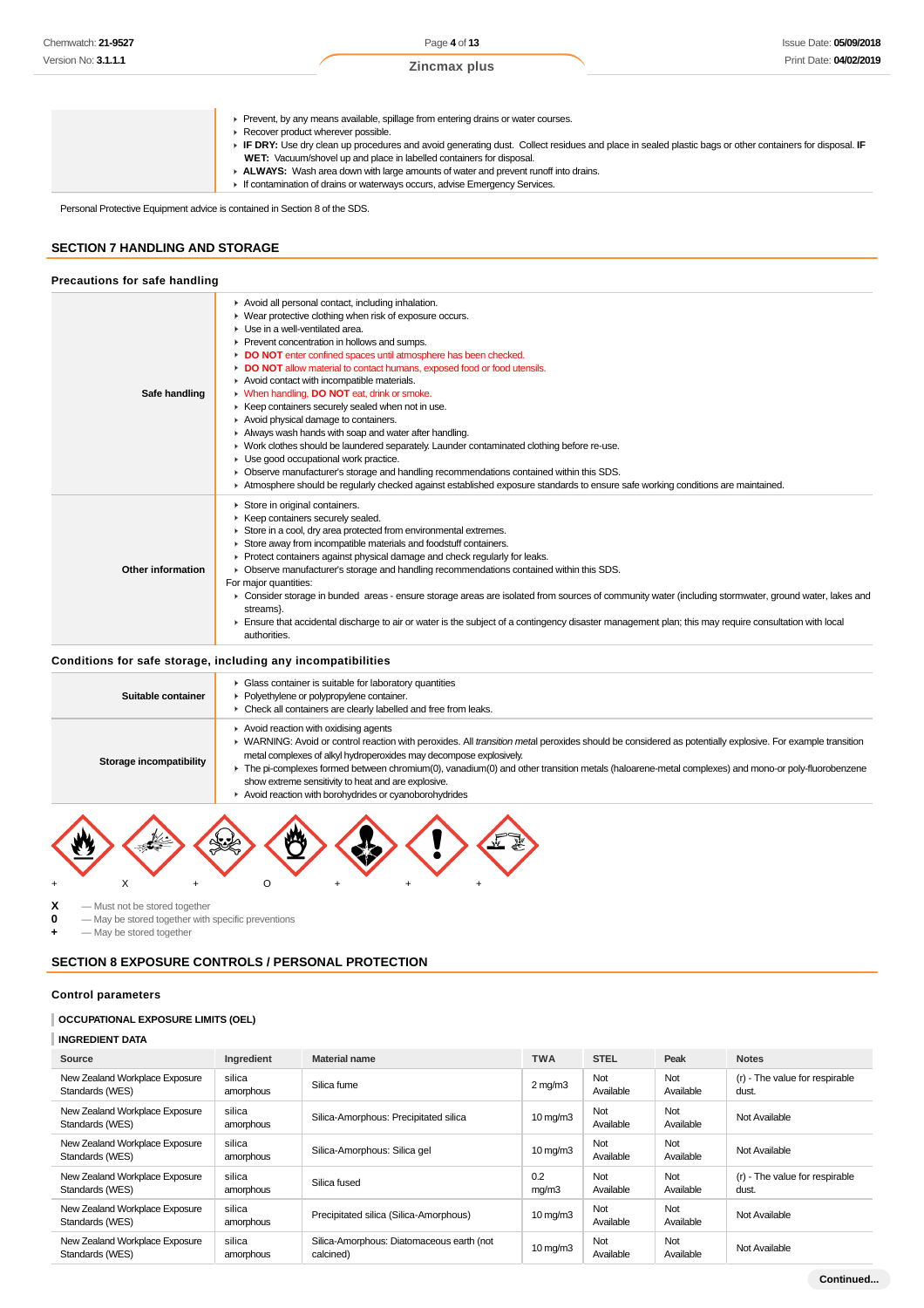Prevent, by any means available, spillage from entering drains or water courses.

- Recover product wherever possible.
	- **IF DRY:** Use dry clean up procedures and avoid generating dust. Collect residues and place in sealed plastic bags or other containers for disposal. **IF WET:** Vacuum/shovel up and place in labelled containers for disposal.
		- **ALWAYS:** Wash area down with large amounts of water and prevent runoff into drains.
	- If contamination of drains or waterways occurs, advise Emergency Services.

Personal Protective Equipment advice is contained in Section 8 of the SDS.

## **SECTION 7 HANDLING AND STORAGE**

## **Precautions for safe handling**

| Safe handling     | Avoid all personal contact, including inhalation.<br>• Wear protective clothing when risk of exposure occurs.<br>$\blacktriangleright$ Use in a well-ventilated area.<br>Prevent concentration in hollows and sumps.<br>DO NOT enter confined spaces until atmosphere has been checked.<br>DO NOT allow material to contact humans, exposed food or food utensils.<br>Avoid contact with incompatible materials.<br>• When handling, DO NOT eat, drink or smoke.<br>▶ Keep containers securely sealed when not in use.<br>Avoid physical damage to containers.<br>Always wash hands with soap and water after handling.<br>• Work clothes should be laundered separately. Launder contaminated clothing before re-use.<br>• Use good occupational work practice.<br>• Observe manufacturer's storage and handling recommendations contained within this SDS.<br>Atmosphere should be regularly checked against established exposure standards to ensure safe working conditions are maintained. |
|-------------------|-------------------------------------------------------------------------------------------------------------------------------------------------------------------------------------------------------------------------------------------------------------------------------------------------------------------------------------------------------------------------------------------------------------------------------------------------------------------------------------------------------------------------------------------------------------------------------------------------------------------------------------------------------------------------------------------------------------------------------------------------------------------------------------------------------------------------------------------------------------------------------------------------------------------------------------------------------------------------------------------------|
| Other information | Store in original containers.<br>▶ Keep containers securely sealed.<br>Store in a cool, dry area protected from environmental extremes.<br>Store away from incompatible materials and foodstuff containers.<br>$\triangleright$ Protect containers against physical damage and check regularly for leaks.<br>• Observe manufacturer's storage and handling recommendations contained within this SDS.<br>For major quantities:<br>► Consider storage in bunded areas - ensure storage areas are isolated from sources of community water (including stormwater, ground water, lakes and<br>streams).<br>Ensure that accidental discharge to air or water is the subject of a contingency disaster management plan; this may require consultation with local<br>authorities.                                                                                                                                                                                                                     |

## **Conditions for safe storage, including any incompatibilities**

| Suitable container      | • Glass container is suitable for laboratory quantities<br>Polyethylene or polypropylene container.<br>• Check all containers are clearly labelled and free from leaks.                                                                                                                                                                                                                                                                                                                                                                    |
|-------------------------|--------------------------------------------------------------------------------------------------------------------------------------------------------------------------------------------------------------------------------------------------------------------------------------------------------------------------------------------------------------------------------------------------------------------------------------------------------------------------------------------------------------------------------------------|
| Storage incompatibility | Avoid reaction with oxidising agents<br>▶ WARNING: Avoid or control reaction with peroxides. All transition metal peroxides should be considered as potentially explosive. For example transition<br>metal complexes of alkyl hydroperoxides may decompose explosively.<br>The pi-complexes formed between chromium(0), vanadium(0) and other transition metals (haloarene-metal complexes) and mono-or poly-fluorobenzene<br>show extreme sensitivity to heat and are explosive.<br>Avoid reaction with borohydrides or cyanoborohydrides |



**X** — Must not be stored together<br>**0** — May be stored together with **0** — May be stored together with specific preventions

**+** — May be stored together

## **SECTION 8 EXPOSURE CONTROLS / PERSONAL PROTECTION**

## **Control parameters**

### **OCCUPATIONAL EXPOSURE LIMITS (OEL)**

**INGREDIENT DATA**

| Source                                            | Ingredient          | <b>Material name</b>                                   | <b>TWA</b>            | <b>STEL</b>      | Peak             | <b>Notes</b>                            |
|---------------------------------------------------|---------------------|--------------------------------------------------------|-----------------------|------------------|------------------|-----------------------------------------|
| New Zealand Workplace Exposure<br>Standards (WES) | silica<br>amorphous | Silica fume                                            | $2 \text{ mg/m}$      | Not<br>Available | Not<br>Available | (r) - The value for respirable<br>dust. |
| New Zealand Workplace Exposure<br>Standards (WES) | silica<br>amorphous | Silica-Amorphous: Precipitated silica                  | $10 \,\mathrm{mq/m}$  | Not<br>Available | Not<br>Available | Not Available                           |
| New Zealand Workplace Exposure<br>Standards (WES) | silica<br>amorphous | Silica-Amorphous: Silica gel                           | $10 \,\mathrm{mq/m}$  | Not<br>Available | Not<br>Available | Not Available                           |
| New Zealand Workplace Exposure<br>Standards (WES) | silica<br>amorphous | Silica fused                                           | 0.2<br>mg/m3          | Not<br>Available | Not<br>Available | (r) - The value for respirable<br>dust. |
| New Zealand Workplace Exposure<br>Standards (WES) | silica<br>amorphous | Precipitated silica (Silica-Amorphous)                 | $10 \,\mathrm{mag/m}$ | Not<br>Available | Not<br>Available | Not Available                           |
| New Zealand Workplace Exposure<br>Standards (WES) | silica<br>amorphous | Silica-Amorphous: Diatomaceous earth (not<br>calcined) | $10 \,\mathrm{mq/m}$  | Not<br>Available | Not<br>Available | Not Available                           |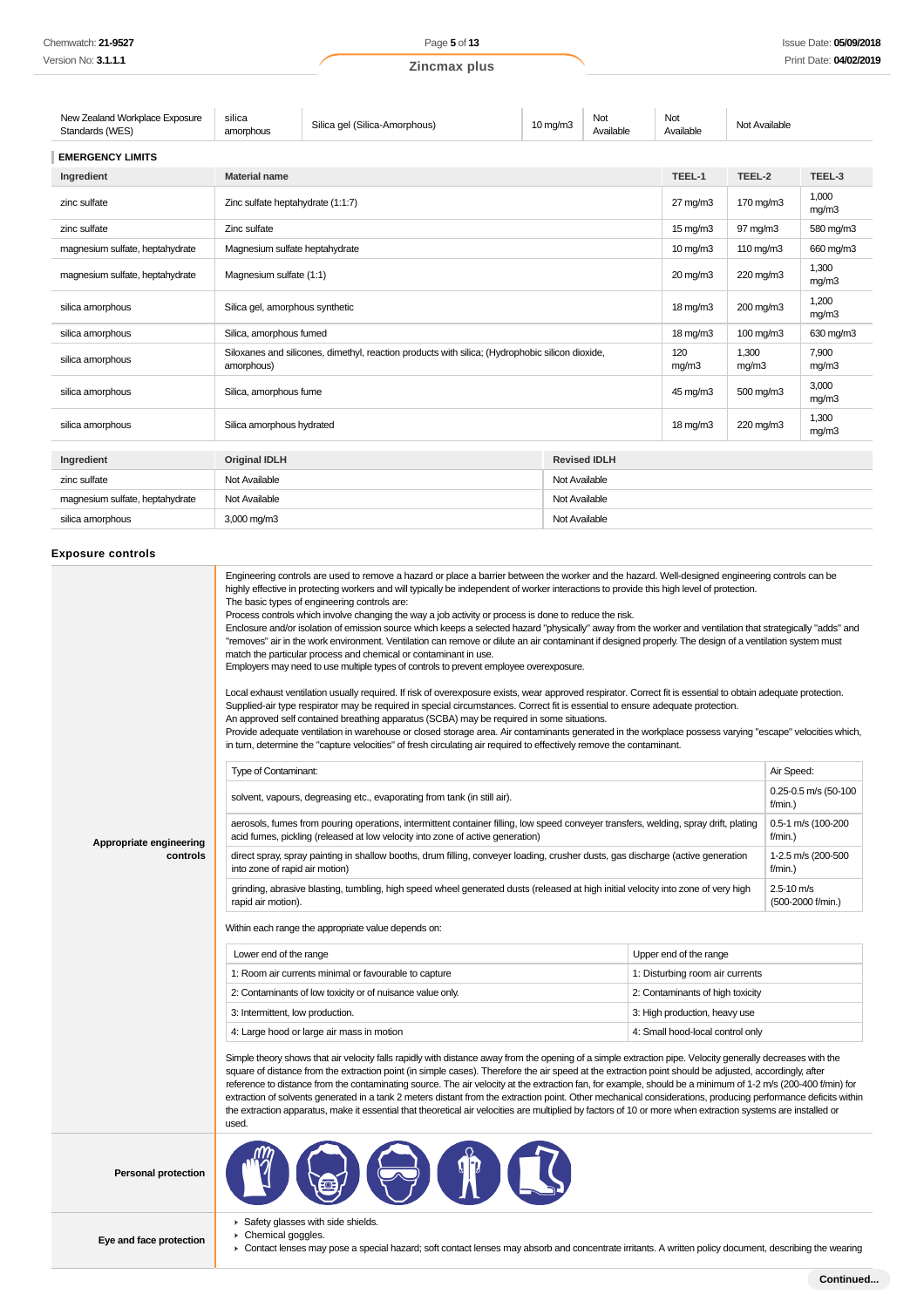| New Zealand Workplace Exposure<br>Standards (WES) | silica<br>amorphous            | Silica gel (Silica-Amorphous)                                                                   | $10$ mg/m $3$ | Not<br>Available    | Not<br>Available    | Not Available  |                |
|---------------------------------------------------|--------------------------------|-------------------------------------------------------------------------------------------------|---------------|---------------------|---------------------|----------------|----------------|
| <b>EMERGENCY LIMITS</b>                           |                                |                                                                                                 |               |                     |                     |                |                |
| Ingredient                                        | <b>Material name</b>           |                                                                                                 |               |                     | TEEL-1              | TEEL-2         | TEEL-3         |
| zinc sulfate                                      |                                | Zinc sulfate heptahydrate (1:1:7)                                                               |               |                     | $27 \text{ mg/m}$ 3 | 170 mg/m3      | 1,000<br>mq/m3 |
| zinc sulfate                                      | Zinc sulfate                   |                                                                                                 |               |                     | $15 \text{ mg/m}$   | 97 mg/m3       | 580 mg/m3      |
| magnesium sulfate, heptahydrate                   | Magnesium sulfate heptahydrate |                                                                                                 |               |                     | $10$ mg/m $3$       | 110 mg/m3      | 660 mg/m3      |
| magnesium sulfate, heptahydrate                   |                                | Magnesium sulfate (1:1)                                                                         |               | 20 mg/m3            | 220 mg/m3           | 1.300<br>mg/m3 |                |
| silica amorphous                                  |                                | Silica gel, amorphous synthetic                                                                 |               | $18 \text{ mg/m}$   | 200 mg/m3           | 1.200<br>mq/m3 |                |
| silica amorphous                                  |                                | Silica, amorphous fumed                                                                         |               | $18 \text{ mg/m}$   | 100 mg/m3           | 630 mg/m3      |                |
| silica amorphous                                  | amorphous)                     | Siloxanes and silicones, dimethyl, reaction products with silica; (Hydrophobic silicon dioxide, |               |                     | 120<br>mg/m3        | 1,300<br>mg/m3 | 7.900<br>mg/m3 |
| silica amorphous                                  |                                | Silica, amorphous fume                                                                          |               | 45 mg/m3            | 500 mg/m3           | 3.000<br>mq/m3 |                |
| silica amorphous                                  |                                | Silica amorphous hydrated                                                                       |               | $18 \text{ mg/m}$   | 220 mg/m3           | 1.300<br>mq/m3 |                |
| Ingredient                                        | <b>Original IDLH</b>           |                                                                                                 |               | <b>Revised IDLH</b> |                     |                |                |
| zinc sulfate                                      | Not Available<br>Not Available |                                                                                                 |               |                     |                     |                |                |
| magnesium sulfate, heptahydrate                   | Not Available<br>Not Available |                                                                                                 |               |                     |                     |                |                |
| silica amorphous                                  | 3,000 mg/m3<br>Not Available   |                                                                                                 |               |                     |                     |                |                |

## **Exposure controls**

Î.

|                            | Engineering controls are used to remove a hazard or place a barrier between the worker and the hazard. Well-designed engineering controls can be<br>highly effective in protecting workers and will typically be independent of worker interactions to provide this high level of protection.<br>The basic types of engineering controls are:<br>Process controls which involve changing the way a job activity or process is done to reduce the risk.<br>Enclosure and/or isolation of emission source which keeps a selected hazard "physically" away from the worker and ventilation that strategically "adds" and<br>"removes" air in the work environment. Ventilation can remove or dilute an air contaminant if designed properly. The design of a ventilation system must<br>match the particular process and chemical or contaminant in use.<br>Employers may need to use multiple types of controls to prevent employee overexposure.<br>Local exhaust ventilation usually required. If risk of overexposure exists, wear approved respirator. Correct fit is essential to obtain adequate protection.<br>Supplied-air type respirator may be required in special circumstances. Correct fit is essential to ensure adequate protection.<br>An approved self contained breathing apparatus (SCBA) may be required in some situations.<br>Provide adequate ventilation in warehouse or closed storage area. Air contaminants generated in the workplace possess varying "escape" velocities which,<br>in turn, determine the "capture velocities" of fresh circulating air required to effectively remove the contaminant. |                                     |                                 |
|----------------------------|-------------------------------------------------------------------------------------------------------------------------------------------------------------------------------------------------------------------------------------------------------------------------------------------------------------------------------------------------------------------------------------------------------------------------------------------------------------------------------------------------------------------------------------------------------------------------------------------------------------------------------------------------------------------------------------------------------------------------------------------------------------------------------------------------------------------------------------------------------------------------------------------------------------------------------------------------------------------------------------------------------------------------------------------------------------------------------------------------------------------------------------------------------------------------------------------------------------------------------------------------------------------------------------------------------------------------------------------------------------------------------------------------------------------------------------------------------------------------------------------------------------------------------------------------------------------------------------------------------------------------------------|-------------------------------------|---------------------------------|
|                            | Type of Contaminant:                                                                                                                                                                                                                                                                                                                                                                                                                                                                                                                                                                                                                                                                                                                                                                                                                                                                                                                                                                                                                                                                                                                                                                                                                                                                                                                                                                                                                                                                                                                                                                                                                |                                     | Air Speed:                      |
|                            | solvent, vapours, degreasing etc., evaporating from tank (in still air).                                                                                                                                                                                                                                                                                                                                                                                                                                                                                                                                                                                                                                                                                                                                                                                                                                                                                                                                                                                                                                                                                                                                                                                                                                                                                                                                                                                                                                                                                                                                                            |                                     | 0.25-0.5 m/s (50-100<br>f/min.) |
| Appropriate engineering    | aerosols, fumes from pouring operations, intermittent container filling, low speed conveyer transfers, welding, spray drift, plating<br>acid fumes, pickling (released at low velocity into zone of active generation)                                                                                                                                                                                                                                                                                                                                                                                                                                                                                                                                                                                                                                                                                                                                                                                                                                                                                                                                                                                                                                                                                                                                                                                                                                                                                                                                                                                                              |                                     |                                 |
| controls                   | direct spray, spray painting in shallow booths, drum filling, conveyer loading, crusher dusts, gas discharge (active generation<br>into zone of rapid air motion)                                                                                                                                                                                                                                                                                                                                                                                                                                                                                                                                                                                                                                                                                                                                                                                                                                                                                                                                                                                                                                                                                                                                                                                                                                                                                                                                                                                                                                                                   | 1-2.5 m/s (200-500<br>f/min.)       |                                 |
|                            | grinding, abrasive blasting, tumbling, high speed wheel generated dusts (released at high initial velocity into zone of very high<br>rapid air motion).                                                                                                                                                                                                                                                                                                                                                                                                                                                                                                                                                                                                                                                                                                                                                                                                                                                                                                                                                                                                                                                                                                                                                                                                                                                                                                                                                                                                                                                                             | $2.5 - 10$ m/s<br>(500-2000 f/min.) |                                 |
|                            | Within each range the appropriate value depends on:                                                                                                                                                                                                                                                                                                                                                                                                                                                                                                                                                                                                                                                                                                                                                                                                                                                                                                                                                                                                                                                                                                                                                                                                                                                                                                                                                                                                                                                                                                                                                                                 |                                     |                                 |
|                            | Lower end of the range                                                                                                                                                                                                                                                                                                                                                                                                                                                                                                                                                                                                                                                                                                                                                                                                                                                                                                                                                                                                                                                                                                                                                                                                                                                                                                                                                                                                                                                                                                                                                                                                              | Upper end of the range              |                                 |
|                            | 1: Room air currents minimal or favourable to capture                                                                                                                                                                                                                                                                                                                                                                                                                                                                                                                                                                                                                                                                                                                                                                                                                                                                                                                                                                                                                                                                                                                                                                                                                                                                                                                                                                                                                                                                                                                                                                               | 1: Disturbing room air currents     |                                 |
|                            | 2: Contaminants of low toxicity or of nuisance value only.                                                                                                                                                                                                                                                                                                                                                                                                                                                                                                                                                                                                                                                                                                                                                                                                                                                                                                                                                                                                                                                                                                                                                                                                                                                                                                                                                                                                                                                                                                                                                                          | 2: Contaminants of high toxicity    |                                 |
|                            | 3: Intermittent, low production.                                                                                                                                                                                                                                                                                                                                                                                                                                                                                                                                                                                                                                                                                                                                                                                                                                                                                                                                                                                                                                                                                                                                                                                                                                                                                                                                                                                                                                                                                                                                                                                                    | 3: High production, heavy use       |                                 |
|                            | 4: Large hood or large air mass in motion                                                                                                                                                                                                                                                                                                                                                                                                                                                                                                                                                                                                                                                                                                                                                                                                                                                                                                                                                                                                                                                                                                                                                                                                                                                                                                                                                                                                                                                                                                                                                                                           | 4: Small hood-local control only    |                                 |
|                            | Simple theory shows that air velocity falls rapidly with distance away from the opening of a simple extraction pipe. Velocity generally decreases with the<br>square of distance from the extraction point (in simple cases). Therefore the air speed at the extraction point should be adjusted, accordingly, after<br>reference to distance from the contaminating source. The air velocity at the extraction fan, for example, should be a minimum of 1-2 m/s (200-400 f/min) for<br>extraction of solvents generated in a tank 2 meters distant from the extraction point. Other mechanical considerations, producing performance deficits within<br>the extraction apparatus, make it essential that theoretical air velocities are multiplied by factors of 10 or more when extraction systems are installed or<br>used.                                                                                                                                                                                                                                                                                                                                                                                                                                                                                                                                                                                                                                                                                                                                                                                                      |                                     |                                 |
| <b>Personal protection</b> |                                                                                                                                                                                                                                                                                                                                                                                                                                                                                                                                                                                                                                                                                                                                                                                                                                                                                                                                                                                                                                                                                                                                                                                                                                                                                                                                                                                                                                                                                                                                                                                                                                     |                                     |                                 |
| Eye and face protection    | Safety glasses with side shields.<br>Chemical goggles.<br>Contact long<br>angoiol bozordugoft gontaet langas mau obaerb                                                                                                                                                                                                                                                                                                                                                                                                                                                                                                                                                                                                                                                                                                                                                                                                                                                                                                                                                                                                                                                                                                                                                                                                                                                                                                                                                                                                                                                                                                             |                                     |                                 |

Contact lenses may pose a special hazard; soft contact lenses may absorb and concentrate irritants. A written policy document, describing the wearing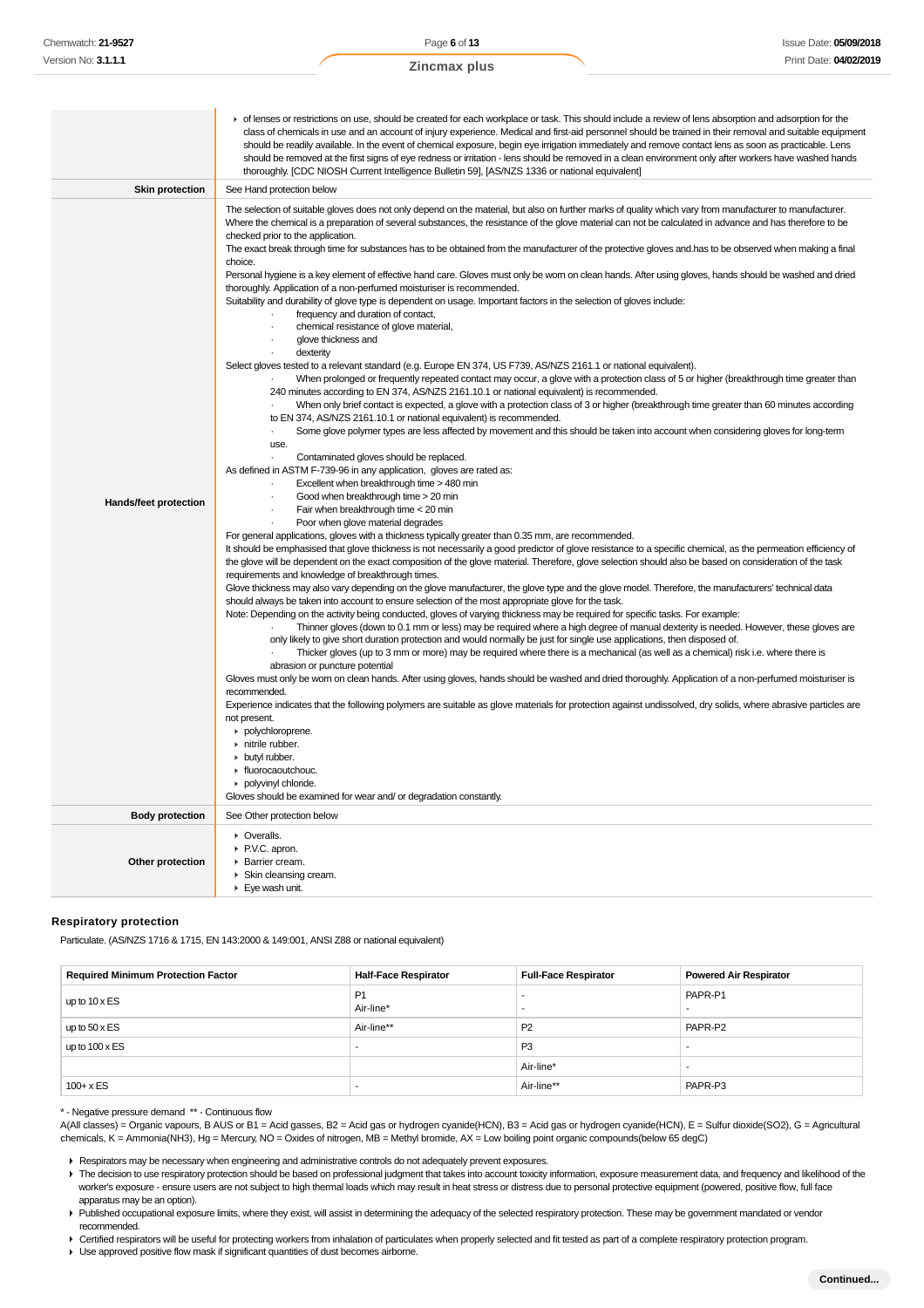|                        | • of lenses or restrictions on use, should be created for each workplace or task. This should include a review of lens absorption and adsorption for the<br>class of chemicals in use and an account of injury experience. Medical and first-aid personnel should be trained in their removal and suitable equipment<br>should be readily available. In the event of chemical exposure, begin eye irrigation immediately and remove contact lens as soon as practicable. Lens<br>should be removed at the first signs of eye redness or irritation - lens should be removed in a clean environment only after workers have washed hands<br>thoroughly. [CDC NIOSH Current Intelligence Bulletin 59], [AS/NZS 1336 or national equivalent]                                                                                                                                                                                                                                                                                                                                                                                                                                                                                                                                                                                                                                                                                                                                                                                                                                                                                                                                                                                                                                                                                                                                                                                                                                                                                                                                                                                                                                                                                                                                                                                                                                                                                                                                                                                                                                                                                                                                                                                                                                                                                                                                                                                                                                                                                                                                                                                                                                                                                                                                                                                                                                                                                                                                                                                                                                                                                                                                                                                                                                                                                                                                      |
|------------------------|--------------------------------------------------------------------------------------------------------------------------------------------------------------------------------------------------------------------------------------------------------------------------------------------------------------------------------------------------------------------------------------------------------------------------------------------------------------------------------------------------------------------------------------------------------------------------------------------------------------------------------------------------------------------------------------------------------------------------------------------------------------------------------------------------------------------------------------------------------------------------------------------------------------------------------------------------------------------------------------------------------------------------------------------------------------------------------------------------------------------------------------------------------------------------------------------------------------------------------------------------------------------------------------------------------------------------------------------------------------------------------------------------------------------------------------------------------------------------------------------------------------------------------------------------------------------------------------------------------------------------------------------------------------------------------------------------------------------------------------------------------------------------------------------------------------------------------------------------------------------------------------------------------------------------------------------------------------------------------------------------------------------------------------------------------------------------------------------------------------------------------------------------------------------------------------------------------------------------------------------------------------------------------------------------------------------------------------------------------------------------------------------------------------------------------------------------------------------------------------------------------------------------------------------------------------------------------------------------------------------------------------------------------------------------------------------------------------------------------------------------------------------------------------------------------------------------------------------------------------------------------------------------------------------------------------------------------------------------------------------------------------------------------------------------------------------------------------------------------------------------------------------------------------------------------------------------------------------------------------------------------------------------------------------------------------------------------------------------------------------------------------------------------------------------------------------------------------------------------------------------------------------------------------------------------------------------------------------------------------------------------------------------------------------------------------------------------------------------------------------------------------------------------------------------------------------------------------------------------------------------------|
| <b>Skin protection</b> | See Hand protection below                                                                                                                                                                                                                                                                                                                                                                                                                                                                                                                                                                                                                                                                                                                                                                                                                                                                                                                                                                                                                                                                                                                                                                                                                                                                                                                                                                                                                                                                                                                                                                                                                                                                                                                                                                                                                                                                                                                                                                                                                                                                                                                                                                                                                                                                                                                                                                                                                                                                                                                                                                                                                                                                                                                                                                                                                                                                                                                                                                                                                                                                                                                                                                                                                                                                                                                                                                                                                                                                                                                                                                                                                                                                                                                                                                                                                                                      |
| Hands/feet protection  | The selection of suitable gloves does not only depend on the material, but also on further marks of quality which vary from manufacturer to manufacturer.<br>Where the chemical is a preparation of several substances, the resistance of the glove material can not be calculated in advance and has therefore to be<br>checked prior to the application.<br>The exact break through time for substances has to be obtained from the manufacturer of the protective gloves and has to be observed when making a final<br>choice.<br>Personal hygiene is a key element of effective hand care. Gloves must only be worn on clean hands. After using gloves, hands should be washed and dried<br>thoroughly. Application of a non-perfumed moisturiser is recommended.<br>Suitability and durability of glove type is dependent on usage. Important factors in the selection of gloves include:<br>frequency and duration of contact,<br>chemical resistance of glove material,<br>$\cdot$<br>glove thickness and<br>$\ddot{\phantom{0}}$<br>dexterity<br>Select gloves tested to a relevant standard (e.g. Europe EN 374, US F739, AS/NZS 2161.1 or national equivalent).<br>When prolonged or frequently repeated contact may occur, a glove with a protection class of 5 or higher (breakthrough time greater than<br>240 minutes according to EN 374, AS/NZS 2161.10.1 or national equivalent) is recommended.<br>When only brief contact is expected, a glove with a protection class of 3 or higher (breakthrough time greater than 60 minutes according<br>to EN 374, AS/NZS 2161.10.1 or national equivalent) is recommended.<br>Some glove polymer types are less affected by movement and this should be taken into account when considering gloves for long-term<br><b>USA</b><br>Contaminated gloves should be replaced.<br>As defined in ASTM F-739-96 in any application, gloves are rated as:<br>Excellent when breakthrough time > 480 min<br>Good when breakthrough time > 20 min<br>Fair when breakthrough time < 20 min<br>Poor when glove material degrades<br>For general applications, gloves with a thickness typically greater than 0.35 mm, are recommended.<br>It should be emphasised that glove thickness is not necessarily a good predictor of glove resistance to a specific chemical, as the permeation efficiency of<br>the glove will be dependent on the exact composition of the glove material. Therefore, glove selection should also be based on consideration of the task<br>requirements and knowledge of breakthrough times.<br>Glove thickness may also vary depending on the glove manufacturer, the glove type and the glove model. Therefore, the manufacturers' technical data<br>should always be taken into account to ensure selection of the most appropriate glove for the task.<br>Note: Depending on the activity being conducted, gloves of varying thickness may be required for specific tasks. For example:<br>Thinner gloves (down to 0.1 mm or less) may be required where a high degree of manual dexterity is needed. However, these gloves are<br>only likely to give short duration protection and would normally be just for single use applications, then disposed of.<br>Thicker gloves (up to 3 mm or more) may be required where there is a mechanical (as well as a chemical) risk i.e. where there is<br>abrasion or puncture potential<br>Gloves must only be worn on clean hands. After using gloves, hands should be washed and dried thoroughly. Application of a non-perfumed moisturiser is<br>recommended.<br>Experience indicates that the following polymers are suitable as glove materials for protection against undissolved, dry solids, where abrasive particles are<br>not present.<br>polychloroprene.<br>nitrile rubber.<br>butyl rubber.<br>• fluorocaoutchouc.<br>polyvinyl chloride. |
|                        | Gloves should be examined for wear and/ or degradation constantly.                                                                                                                                                                                                                                                                                                                                                                                                                                                                                                                                                                                                                                                                                                                                                                                                                                                                                                                                                                                                                                                                                                                                                                                                                                                                                                                                                                                                                                                                                                                                                                                                                                                                                                                                                                                                                                                                                                                                                                                                                                                                                                                                                                                                                                                                                                                                                                                                                                                                                                                                                                                                                                                                                                                                                                                                                                                                                                                                                                                                                                                                                                                                                                                                                                                                                                                                                                                                                                                                                                                                                                                                                                                                                                                                                                                                             |
| <b>Body protection</b> | See Other protection below                                                                                                                                                                                                                                                                                                                                                                                                                                                                                                                                                                                                                                                                                                                                                                                                                                                                                                                                                                                                                                                                                                                                                                                                                                                                                                                                                                                                                                                                                                                                                                                                                                                                                                                                                                                                                                                                                                                                                                                                                                                                                                                                                                                                                                                                                                                                                                                                                                                                                                                                                                                                                                                                                                                                                                                                                                                                                                                                                                                                                                                                                                                                                                                                                                                                                                                                                                                                                                                                                                                                                                                                                                                                                                                                                                                                                                                     |
| Other protection       | • Overalls.<br>▶ P.V.C. apron.<br>Barrier cream.<br>Skin cleansing cream.<br>Eye wash unit.                                                                                                                                                                                                                                                                                                                                                                                                                                                                                                                                                                                                                                                                                                                                                                                                                                                                                                                                                                                                                                                                                                                                                                                                                                                                                                                                                                                                                                                                                                                                                                                                                                                                                                                                                                                                                                                                                                                                                                                                                                                                                                                                                                                                                                                                                                                                                                                                                                                                                                                                                                                                                                                                                                                                                                                                                                                                                                                                                                                                                                                                                                                                                                                                                                                                                                                                                                                                                                                                                                                                                                                                                                                                                                                                                                                    |

#### **Respiratory protection**

Particulate. (AS/NZS 1716 & 1715, EN 143:2000 & 149:001, ANSI Z88 or national equivalent)

| <b>Required Minimum Protection Factor</b> | <b>Half-Face Respirator</b> | <b>Full-Face Respirator</b> | Powered Air Respirator |
|-------------------------------------------|-----------------------------|-----------------------------|------------------------|
| up to $10 \times ES$                      | P <sub>1</sub><br>Air-line* | $\overline{\phantom{a}}$    | PAPR-P1                |
| up to $50 \times ES$                      | Air-line**                  | P <sub>2</sub>              | PAPR-P2                |
| up to $100 \times ES$                     |                             | P <sub>3</sub>              |                        |
|                                           |                             | Air-line*                   |                        |
| $100 + x ES$                              |                             | Air-line**                  | PAPR-P3                |

\* - Negative pressure demand \*\* - Continuous flow

A(All classes) = Organic vapours, B AUS or B1 = Acid gasses, B2 = Acid gas or hydrogen cyanide(HCN), B3 = Acid gas or hydrogen cyanide(HCN), E = Sulfur dioxide(SO2), G = Agricultural chemicals, K = Ammonia(NH3), Hg = Mercury, NO = Oxides of nitrogen, MB = Methyl bromide, AX = Low boiling point organic compounds(below 65 degC)

Respirators may be necessary when engineering and administrative controls do not adequately prevent exposures.

The decision to use respiratory protection should be based on professional judgment that takes into account toxicity information, exposure measurement data, and frequency and likelihood of the worker's exposure - ensure users are not subject to high thermal loads which may result in heat stress or distress due to personal protective equipment (powered, positive flow, full face apparatus may be an option).

Published occupational exposure limits, where they exist, will assist in determining the adequacy of the selected respiratory protection. These may be government mandated or vendor recommended.

▶ Certified respirators will be useful for protecting workers from inhalation of particulates when properly selected and fit tested as part of a complete respiratory protection program.

Use approved positive flow mask if significant quantities of dust becomes airborne.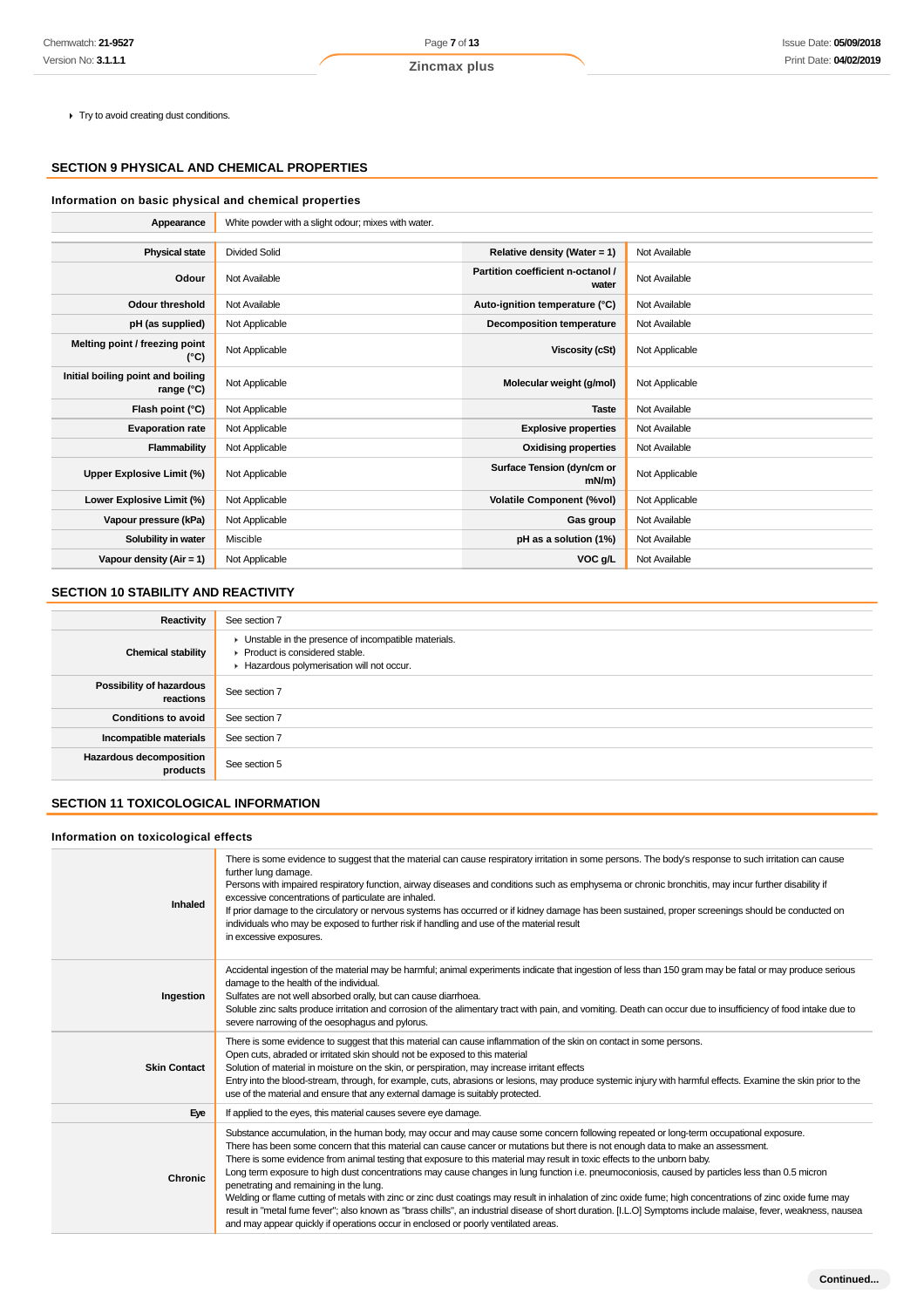$\blacktriangleright$  Try to avoid creating dust conditions.

## **SECTION 9 PHYSICAL AND CHEMICAL PROPERTIES**

## **Information on basic physical and chemical properties**

| Appearance                                        | White powder with a slight odour; mixes with water. |                                            |                |
|---------------------------------------------------|-----------------------------------------------------|--------------------------------------------|----------------|
|                                                   |                                                     |                                            |                |
| <b>Physical state</b>                             | <b>Divided Solid</b>                                | Relative density (Water = $1$ )            | Not Available  |
| Odour                                             | Not Available                                       | Partition coefficient n-octanol /<br>water | Not Available  |
| <b>Odour threshold</b>                            | Not Available                                       | Auto-ignition temperature (°C)             | Not Available  |
| pH (as supplied)                                  | Not Applicable                                      | <b>Decomposition temperature</b>           | Not Available  |
| Melting point / freezing point<br>(°C)            | Not Applicable                                      | Viscosity (cSt)                            | Not Applicable |
| Initial boiling point and boiling<br>range $(°C)$ | Not Applicable                                      | Molecular weight (g/mol)                   | Not Applicable |
| Flash point (°C)                                  | Not Applicable                                      | <b>Taste</b>                               | Not Available  |
| <b>Evaporation rate</b>                           | Not Applicable                                      | <b>Explosive properties</b>                | Not Available  |
| Flammability                                      | Not Applicable                                      | <b>Oxidising properties</b>                | Not Available  |
| Upper Explosive Limit (%)                         | Not Applicable                                      | Surface Tension (dyn/cm or<br>$mN/m$ )     | Not Applicable |
| Lower Explosive Limit (%)                         | Not Applicable                                      | <b>Volatile Component (%vol)</b>           | Not Applicable |
| Vapour pressure (kPa)                             | Not Applicable                                      | Gas group                                  | Not Available  |
| Solubility in water                               | Miscible                                            | pH as a solution (1%)                      | Not Available  |
| Vapour density $(Air = 1)$                        | Not Applicable                                      | VOC g/L                                    | Not Available  |

## **SECTION 10 STABILITY AND REACTIVITY**

| Reactivity                                   | See section 7                                                                                                                        |
|----------------------------------------------|--------------------------------------------------------------------------------------------------------------------------------------|
| <b>Chemical stability</b>                    | • Unstable in the presence of incompatible materials.<br>▶ Product is considered stable.<br>Hazardous polymerisation will not occur. |
| <b>Possibility of hazardous</b><br>reactions | See section 7                                                                                                                        |
| <b>Conditions to avoid</b>                   | See section 7                                                                                                                        |
| Incompatible materials                       | See section 7                                                                                                                        |
| Hazardous decomposition<br>products          | See section 5                                                                                                                        |

## **SECTION 11 TOXICOLOGICAL INFORMATION**

## **Information on toxicological effects**

| There is some evidence to suggest that the material can cause respiratory irritation in some persons. The body's response to such irritation can cause<br>further lung damage.<br>Persons with impaired respiratory function, airway diseases and conditions such as emphysema or chronic bronchitis, may incur further disability if<br>excessive concentrations of particulate are inhaled.<br>If prior damage to the circulatory or nervous systems has occurred or if kidney damage has been sustained, proper screenings should be conducted on<br>individuals who may be exposed to further risk if handling and use of the material result<br>in excessive exposures.                                                                                                                                                                                                                                                                                                                                               |
|----------------------------------------------------------------------------------------------------------------------------------------------------------------------------------------------------------------------------------------------------------------------------------------------------------------------------------------------------------------------------------------------------------------------------------------------------------------------------------------------------------------------------------------------------------------------------------------------------------------------------------------------------------------------------------------------------------------------------------------------------------------------------------------------------------------------------------------------------------------------------------------------------------------------------------------------------------------------------------------------------------------------------|
| Accidental ingestion of the material may be harmful; animal experiments indicate that ingestion of less than 150 gram may be fatal or may produce serious<br>damage to the health of the individual.<br>Sulfates are not well absorbed orally, but can cause diarrhoea.<br>Soluble zinc salts produce irritation and corrosion of the alimentary tract with pain, and vomiting. Death can occur due to insufficiency of food intake due to<br>severe narrowing of the oesophagus and pylorus.                                                                                                                                                                                                                                                                                                                                                                                                                                                                                                                              |
| There is some evidence to suggest that this material can cause inflammation of the skin on contact in some persons.<br>Open cuts, abraded or irritated skin should not be exposed to this material<br>Solution of material in moisture on the skin, or perspiration, may increase irritant effects<br>Entry into the blood-stream, through, for example, cuts, abrasions or lesions, may produce systemic injury with harmful effects. Examine the skin prior to the<br>use of the material and ensure that any external damage is suitably protected.                                                                                                                                                                                                                                                                                                                                                                                                                                                                     |
| If applied to the eyes, this material causes severe eye damage.                                                                                                                                                                                                                                                                                                                                                                                                                                                                                                                                                                                                                                                                                                                                                                                                                                                                                                                                                            |
| Substance accumulation, in the human body, may occur and may cause some concern following repeated or long-term occupational exposure.<br>There has been some concern that this material can cause cancer or mutations but there is not enough data to make an assessment.<br>There is some evidence from animal testing that exposure to this material may result in toxic effects to the unborn baby.<br>Long term exposure to high dust concentrations may cause changes in lung function i.e. pneumoconiosis, caused by particles less than 0.5 micron<br>penetrating and remaining in the lung.<br>Welding or flame cutting of metals with zinc or zinc dust coatings may result in inhalation of zinc oxide fume; high concentrations of zinc oxide fume may<br>result in "metal fume fever"; also known as "brass chills", an industrial disease of short duration. [I.L.O] Symptoms include malaise, fever, weakness, nausea<br>and may appear quickly if operations occur in enclosed or poorly ventilated areas. |
|                                                                                                                                                                                                                                                                                                                                                                                                                                                                                                                                                                                                                                                                                                                                                                                                                                                                                                                                                                                                                            |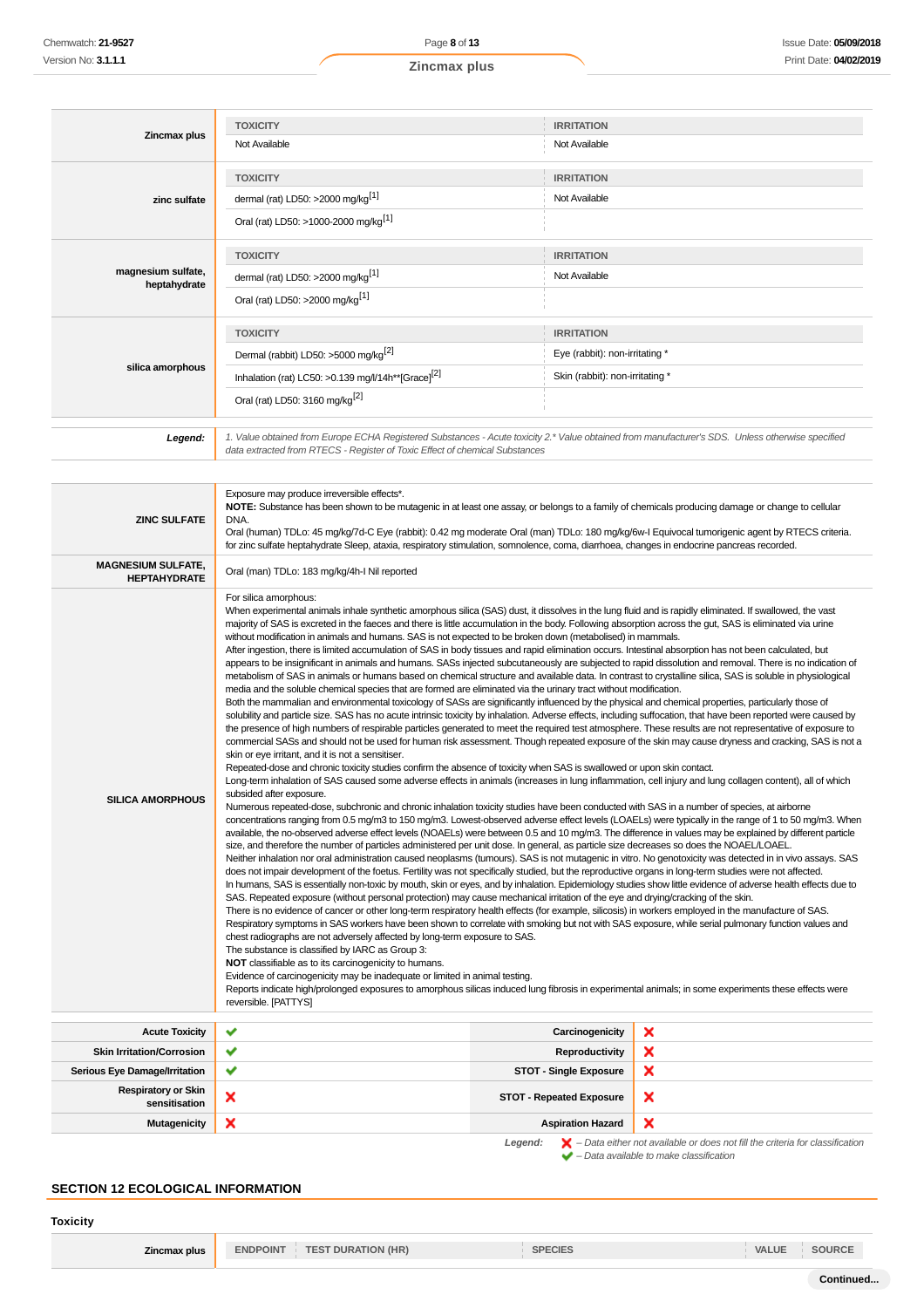| Zincmax plus                       | <b>TOXICITY</b><br>Not Available                                            | <b>IRRITATION</b><br>Not Available                                                                                                               |
|------------------------------------|-----------------------------------------------------------------------------|--------------------------------------------------------------------------------------------------------------------------------------------------|
|                                    |                                                                             |                                                                                                                                                  |
|                                    | <b>TOXICITY</b>                                                             | <b>IRRITATION</b>                                                                                                                                |
| zinc sulfate                       | dermal (rat) LD50: >2000 mg/kg <sup>[1]</sup>                               | Not Available                                                                                                                                    |
|                                    | Oral (rat) LD50: >1000-2000 mg/kg <sup>[1]</sup>                            |                                                                                                                                                  |
|                                    | <b>TOXICITY</b>                                                             | <b>IRRITATION</b>                                                                                                                                |
| magnesium sulfate,<br>heptahydrate | dermal (rat) LD50: >2000 mg/kg <sup>[1]</sup>                               | Not Available                                                                                                                                    |
|                                    | Oral (rat) LD50: >2000 mg/kg <sup>[1]</sup>                                 |                                                                                                                                                  |
|                                    | <b>TOXICITY</b>                                                             | <b>IRRITATION</b>                                                                                                                                |
|                                    | Dermal (rabbit) LD50: >5000 mg/kg <sup>[2]</sup>                            | Eye (rabbit): non-irritating *                                                                                                                   |
| silica amorphous                   | Inhalation (rat) LC50: >0.139 mg/l/14h**[Grace][2]                          | Skin (rabbit): non-irritating *                                                                                                                  |
|                                    | Oral (rat) LD50: 3160 mg/kg <sup>[2]</sup>                                  |                                                                                                                                                  |
|                                    |                                                                             |                                                                                                                                                  |
| Legend:                            | data extracted from RTECS - Register of Toxic Effect of chemical Substances | 1. Value obtained from Europe ECHA Registered Substances - Acute toxicity 2.* Value obtained from manufacturer's SDS. Unless otherwise specified |

| <b>ZINC SULFATE</b>                              | Exposure may produce irreversible effects*.<br>NOTE: Substance has been shown to be mutagenic in at least one assay, or belongs to a family of chemicals producing damage or change to cellular<br>DNA.<br>Oral (human) TDLo: 45 mg/kg/7d-C Eye (rabbit): 0.42 mg moderate Oral (man) TDLo: 180 mg/kg/6w-I Equivocal tumorigenic agent by RTECS criteria.<br>for zinc sulfate heptahydrate Sleep, ataxia, respiratory stimulation, somnolence, coma, diarrhoea, changes in endocrine pancreas recorded.                                                                                                                                                                                                                                                                                                                                                                                                                                                                                                                                                                                                                                                                                                                                                                                                                                                                                                                                                                                                                                                                                                                                                                                                                                                                                                                                                                                                                                                                                                                                                                                                                                                                                                                                                                                                                                                                                                                                                                                                                                                                                                                                                                                                                                                                                                                                                                                                                                                                                                                                                                                                                                                                                                                                                                                                                                                                                                                                                                                                                                                                                                                                                                                                                                                                                                                                                                                                                                                                                                                                                                                                      |                                 |                                                                                                                                                                     |  |
|--------------------------------------------------|--------------------------------------------------------------------------------------------------------------------------------------------------------------------------------------------------------------------------------------------------------------------------------------------------------------------------------------------------------------------------------------------------------------------------------------------------------------------------------------------------------------------------------------------------------------------------------------------------------------------------------------------------------------------------------------------------------------------------------------------------------------------------------------------------------------------------------------------------------------------------------------------------------------------------------------------------------------------------------------------------------------------------------------------------------------------------------------------------------------------------------------------------------------------------------------------------------------------------------------------------------------------------------------------------------------------------------------------------------------------------------------------------------------------------------------------------------------------------------------------------------------------------------------------------------------------------------------------------------------------------------------------------------------------------------------------------------------------------------------------------------------------------------------------------------------------------------------------------------------------------------------------------------------------------------------------------------------------------------------------------------------------------------------------------------------------------------------------------------------------------------------------------------------------------------------------------------------------------------------------------------------------------------------------------------------------------------------------------------------------------------------------------------------------------------------------------------------------------------------------------------------------------------------------------------------------------------------------------------------------------------------------------------------------------------------------------------------------------------------------------------------------------------------------------------------------------------------------------------------------------------------------------------------------------------------------------------------------------------------------------------------------------------------------------------------------------------------------------------------------------------------------------------------------------------------------------------------------------------------------------------------------------------------------------------------------------------------------------------------------------------------------------------------------------------------------------------------------------------------------------------------------------------------------------------------------------------------------------------------------------------------------------------------------------------------------------------------------------------------------------------------------------------------------------------------------------------------------------------------------------------------------------------------------------------------------------------------------------------------------------------------------------------------------------------------------------------------------------------------|---------------------------------|---------------------------------------------------------------------------------------------------------------------------------------------------------------------|--|
| <b>MAGNESIUM SULFATE,</b><br><b>HEPTAHYDRATE</b> | Oral (man) TDLo: 183 mg/kg/4h-I Nil reported                                                                                                                                                                                                                                                                                                                                                                                                                                                                                                                                                                                                                                                                                                                                                                                                                                                                                                                                                                                                                                                                                                                                                                                                                                                                                                                                                                                                                                                                                                                                                                                                                                                                                                                                                                                                                                                                                                                                                                                                                                                                                                                                                                                                                                                                                                                                                                                                                                                                                                                                                                                                                                                                                                                                                                                                                                                                                                                                                                                                                                                                                                                                                                                                                                                                                                                                                                                                                                                                                                                                                                                                                                                                                                                                                                                                                                                                                                                                                                                                                                                                 |                                 |                                                                                                                                                                     |  |
| <b>SILICA AMORPHOUS</b>                          | For silica amorphous:<br>When experimental animals inhale synthetic amorphous silica (SAS) dust, it dissolves in the lung fluid and is rapidly eliminated. If swallowed, the vast<br>majority of SAS is excreted in the faeces and there is little accumulation in the body. Following absorption across the gut, SAS is eliminated via urine<br>without modification in animals and humans. SAS is not expected to be broken down (metabolised) in mammals.<br>After ingestion, there is limited accumulation of SAS in body tissues and rapid elimination occurs. Intestinal absorption has not been calculated, but<br>appears to be insignificant in animals and humans. SASs injected subcutaneously are subjected to rapid dissolution and removal. There is no indication of<br>metabolism of SAS in animals or humans based on chemical structure and available data. In contrast to crystalline silica, SAS is soluble in physiological<br>media and the soluble chemical species that are formed are eliminated via the urinary tract without modification.<br>Both the mammalian and environmental toxicology of SASs are significantly influenced by the physical and chemical properties, particularly those of<br>solubility and particle size. SAS has no acute intrinsic toxicity by inhalation. Adverse effects, including suffocation, that have been reported were caused by<br>the presence of high numbers of respirable particles generated to meet the required test atmosphere. These results are not representative of exposure to<br>commercial SASs and should not be used for human risk assessment. Though repeated exposure of the skin may cause dryness and cracking, SAS is not a<br>skin or eye irritant, and it is not a sensitiser.<br>Repeated-dose and chronic toxicity studies confirm the absence of toxicity when SAS is swallowed or upon skin contact.<br>Long-term inhalation of SAS caused some adverse effects in animals (increases in lung inflammation, cell injury and lung collagen content), all of which<br>subsided after exposure.<br>Numerous repeated-dose, subchronic and chronic inhalation toxicity studies have been conducted with SAS in a number of species, at airborne<br>concentrations ranging from 0.5 mg/m3 to 150 mg/m3. Lowest-observed adverse effect levels (LOAELs) were typically in the range of 1 to 50 mg/m3. When<br>available, the no-observed adverse effect levels (NOAELs) were between 0.5 and 10 mg/m3. The difference in values may be explained by different particle<br>size, and therefore the number of particles administered per unit dose. In general, as particle size decreases so does the NOAEL/LOAEL.<br>Neither inhalation nor oral administration caused neoplasms (tumours). SAS is not mutagenic in vitro. No genotoxicity was detected in in vivo assays. SAS<br>does not impair development of the foetus. Fertility was not specifically studied, but the reproductive organs in long-term studies were not affected.<br>In humans, SAS is essentially non-toxic by mouth, skin or eyes, and by inhalation. Epidemiology studies show little evidence of adverse health effects due to<br>SAS. Repeated exposure (without personal protection) may cause mechanical irritation of the eye and drying/cracking of the skin.<br>There is no evidence of cancer or other long-term respiratory health effects (for example, silicosis) in workers employed in the manufacture of SAS.<br>Respiratory symptoms in SAS workers have been shown to correlate with smoking but not with SAS exposure, while serial pulmonary function values and<br>chest radiographs are not adversely affected by long-term exposure to SAS.<br>The substance is classified by IARC as Group 3:<br>NOT classifiable as to its carcinogenicity to humans.<br>Evidence of carcinogenicity may be inadequate or limited in animal testing.<br>Reports indicate high/prolonged exposures to amorphous silicas induced lung fibrosis in experimental animals; in some experiments these effects were<br>reversible. [PATTYS] |                                 |                                                                                                                                                                     |  |
| <b>Acute Toxicity</b>                            | ✔                                                                                                                                                                                                                                                                                                                                                                                                                                                                                                                                                                                                                                                                                                                                                                                                                                                                                                                                                                                                                                                                                                                                                                                                                                                                                                                                                                                                                                                                                                                                                                                                                                                                                                                                                                                                                                                                                                                                                                                                                                                                                                                                                                                                                                                                                                                                                                                                                                                                                                                                                                                                                                                                                                                                                                                                                                                                                                                                                                                                                                                                                                                                                                                                                                                                                                                                                                                                                                                                                                                                                                                                                                                                                                                                                                                                                                                                                                                                                                                                                                                                                                            | Carcinogenicity                 | ×                                                                                                                                                                   |  |
| <b>Skin Irritation/Corrosion</b>                 | ✔                                                                                                                                                                                                                                                                                                                                                                                                                                                                                                                                                                                                                                                                                                                                                                                                                                                                                                                                                                                                                                                                                                                                                                                                                                                                                                                                                                                                                                                                                                                                                                                                                                                                                                                                                                                                                                                                                                                                                                                                                                                                                                                                                                                                                                                                                                                                                                                                                                                                                                                                                                                                                                                                                                                                                                                                                                                                                                                                                                                                                                                                                                                                                                                                                                                                                                                                                                                                                                                                                                                                                                                                                                                                                                                                                                                                                                                                                                                                                                                                                                                                                                            | <b>Reproductivity</b>           | ×                                                                                                                                                                   |  |
| <b>Serious Eye Damage/Irritation</b>             | ✔                                                                                                                                                                                                                                                                                                                                                                                                                                                                                                                                                                                                                                                                                                                                                                                                                                                                                                                                                                                                                                                                                                                                                                                                                                                                                                                                                                                                                                                                                                                                                                                                                                                                                                                                                                                                                                                                                                                                                                                                                                                                                                                                                                                                                                                                                                                                                                                                                                                                                                                                                                                                                                                                                                                                                                                                                                                                                                                                                                                                                                                                                                                                                                                                                                                                                                                                                                                                                                                                                                                                                                                                                                                                                                                                                                                                                                                                                                                                                                                                                                                                                                            | <b>STOT - Single Exposure</b>   | ×                                                                                                                                                                   |  |
| <b>Respiratory or Skin</b><br>sensitisation      | ×                                                                                                                                                                                                                                                                                                                                                                                                                                                                                                                                                                                                                                                                                                                                                                                                                                                                                                                                                                                                                                                                                                                                                                                                                                                                                                                                                                                                                                                                                                                                                                                                                                                                                                                                                                                                                                                                                                                                                                                                                                                                                                                                                                                                                                                                                                                                                                                                                                                                                                                                                                                                                                                                                                                                                                                                                                                                                                                                                                                                                                                                                                                                                                                                                                                                                                                                                                                                                                                                                                                                                                                                                                                                                                                                                                                                                                                                                                                                                                                                                                                                                                            | <b>STOT - Repeated Exposure</b> | ×                                                                                                                                                                   |  |
| <b>Mutagenicity</b>                              | ×                                                                                                                                                                                                                                                                                                                                                                                                                                                                                                                                                                                                                                                                                                                                                                                                                                                                                                                                                                                                                                                                                                                                                                                                                                                                                                                                                                                                                                                                                                                                                                                                                                                                                                                                                                                                                                                                                                                                                                                                                                                                                                                                                                                                                                                                                                                                                                                                                                                                                                                                                                                                                                                                                                                                                                                                                                                                                                                                                                                                                                                                                                                                                                                                                                                                                                                                                                                                                                                                                                                                                                                                                                                                                                                                                                                                                                                                                                                                                                                                                                                                                                            | <b>Aspiration Hazard</b>        | ×                                                                                                                                                                   |  |
|                                                  |                                                                                                                                                                                                                                                                                                                                                                                                                                                                                                                                                                                                                                                                                                                                                                                                                                                                                                                                                                                                                                                                                                                                                                                                                                                                                                                                                                                                                                                                                                                                                                                                                                                                                                                                                                                                                                                                                                                                                                                                                                                                                                                                                                                                                                                                                                                                                                                                                                                                                                                                                                                                                                                                                                                                                                                                                                                                                                                                                                                                                                                                                                                                                                                                                                                                                                                                                                                                                                                                                                                                                                                                                                                                                                                                                                                                                                                                                                                                                                                                                                                                                                              | Legend:                         | $\blacktriangleright$ - Data either not available or does not fill the criteria for classification<br>$\blacktriangleright$ - Data available to make classification |  |

## **SECTION 12 ECOLOGICAL INFORMATION**

**Toxicity**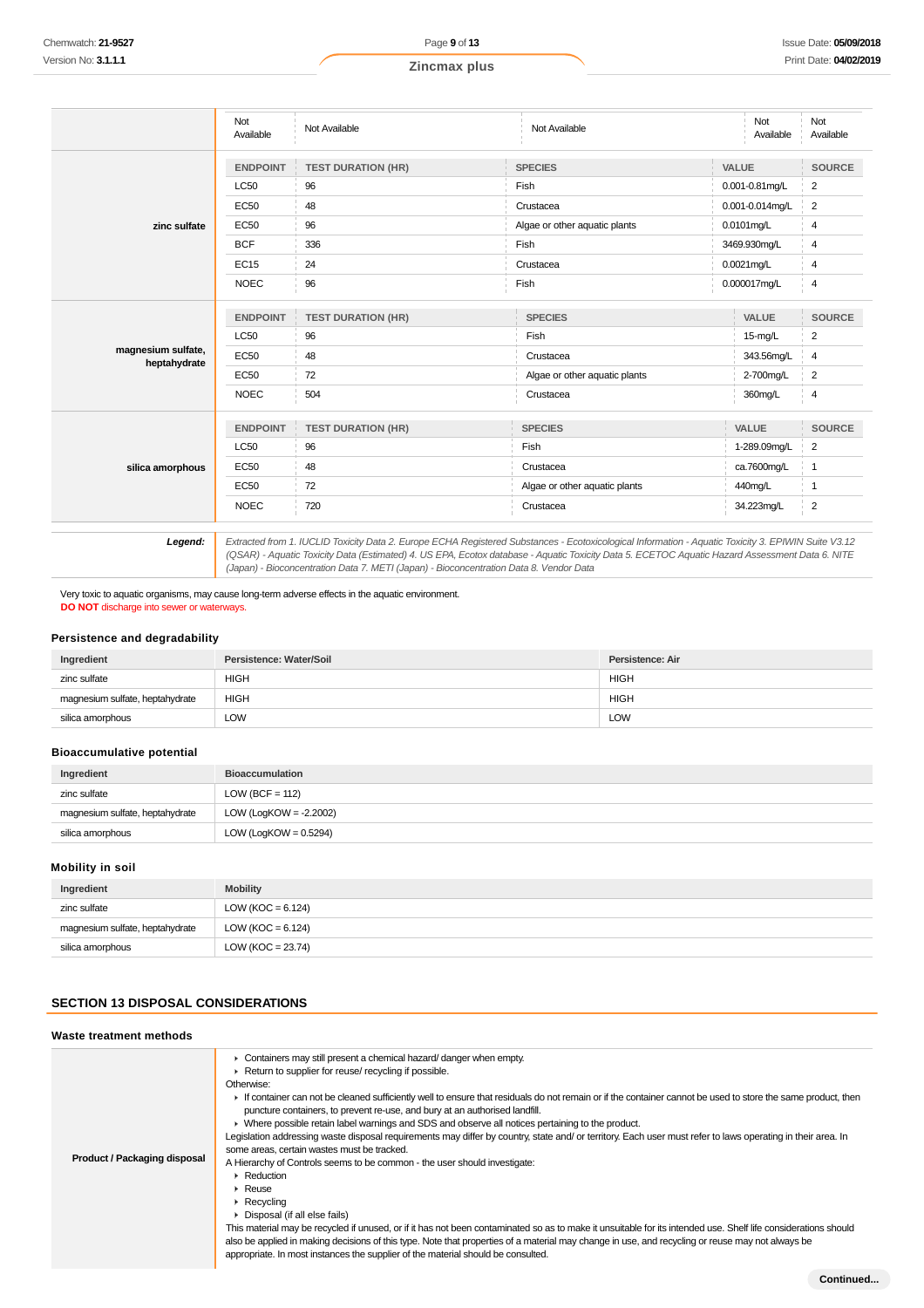|                                                                                                                                                                                                                                                                                                                                                                                                            | Not<br>Available | Not Available             | Not Available                 |                 | Not<br>Available | Not<br>Available |
|------------------------------------------------------------------------------------------------------------------------------------------------------------------------------------------------------------------------------------------------------------------------------------------------------------------------------------------------------------------------------------------------------------|------------------|---------------------------|-------------------------------|-----------------|------------------|------------------|
|                                                                                                                                                                                                                                                                                                                                                                                                            | <b>ENDPOINT</b>  | <b>TEST DURATION (HR)</b> | <b>SPECIES</b>                |                 | VALUE            | <b>SOURCE</b>    |
|                                                                                                                                                                                                                                                                                                                                                                                                            | <b>LC50</b>      | 96                        | Fish                          |                 | 0.001-0.81mg/L   | $\overline{2}$   |
|                                                                                                                                                                                                                                                                                                                                                                                                            | <b>EC50</b>      | 48                        | Crustacea                     | 0.001-0.014mg/L |                  | 2                |
| zinc sulfate                                                                                                                                                                                                                                                                                                                                                                                               | <b>EC50</b>      | 96                        | Algae or other aquatic plants |                 | 0.0101mg/L       | 4                |
|                                                                                                                                                                                                                                                                                                                                                                                                            | <b>BCF</b>       | 336                       | Fish                          |                 | 3469.930mg/L     | 4                |
|                                                                                                                                                                                                                                                                                                                                                                                                            | <b>EC15</b>      | 24                        | Crustacea                     |                 | $0.0021$ mg/L    | 4                |
|                                                                                                                                                                                                                                                                                                                                                                                                            | <b>NOEC</b>      | 96                        | Fish                          |                 | 0.000017mg/L     | 4                |
|                                                                                                                                                                                                                                                                                                                                                                                                            | <b>ENDPOINT</b>  | <b>TEST DURATION (HR)</b> | <b>SPECIES</b>                |                 | VALUE            | <b>SOURCE</b>    |
|                                                                                                                                                                                                                                                                                                                                                                                                            | <b>LC50</b>      | 96                        | Fish                          |                 | $15-mg/L$        | 2                |
| magnesium sulfate,<br>heptahydrate                                                                                                                                                                                                                                                                                                                                                                         | <b>EC50</b>      | 48                        | Crustacea                     | 343.56mg/L      |                  | 4                |
|                                                                                                                                                                                                                                                                                                                                                                                                            | <b>EC50</b>      | 72                        | Algae or other aquatic plants |                 | 2-700mg/L        | $\overline{2}$   |
|                                                                                                                                                                                                                                                                                                                                                                                                            | <b>NOEC</b>      | 504                       | Crustacea                     |                 | 360mg/L          | 4                |
|                                                                                                                                                                                                                                                                                                                                                                                                            | <b>ENDPOINT</b>  | <b>TEST DURATION (HR)</b> | <b>SPECIES</b>                |                 | VALUE            | <b>SOURCE</b>    |
|                                                                                                                                                                                                                                                                                                                                                                                                            | <b>LC50</b>      | 96                        | Fish                          |                 | 1-289.09mg/L     | $\overline{2}$   |
| silica amorphous                                                                                                                                                                                                                                                                                                                                                                                           | <b>EC50</b>      | 48                        | Crustacea                     | ca.7600mg/L     |                  | $\mathbf{1}$     |
|                                                                                                                                                                                                                                                                                                                                                                                                            | <b>EC50</b>      | 72                        | Algae or other aquatic plants | 440mg/L         |                  | $\mathbf{1}$     |
|                                                                                                                                                                                                                                                                                                                                                                                                            | <b>NOEC</b>      | 720                       | Crustacea                     |                 | 34.223mg/L       | $\overline{2}$   |
| Extracted from 1. IUCLID Toxicity Data 2. Europe ECHA Registered Substances - Ecotoxicological Information - Aquatic Toxicity 3. EPIWIN Suite V3.12<br>Legend:<br>(QSAR) - Aquatic Toxicity Data (Estimated) 4. US EPA, Ecotox database - Aquatic Toxicity Data 5. ECETOC Aquatic Hazard Assessment Data 6. NITE<br>(Japan) - Bioconcentration Data 7. METI (Japan) - Bioconcentration Data 8. Vendor Data |                  |                           |                               |                 |                  |                  |

Very toxic to aquatic organisms, may cause long-term adverse effects in the aquatic environment. **DO NOT** discharge into sewer or waterways.

## **Persistence and degradability**

| Ingredient                      | Persistence: Water/Soil | Persistence: Air |
|---------------------------------|-------------------------|------------------|
| zinc sulfate                    | <b>HIGH</b>             | <b>HIGH</b>      |
| magnesium sulfate, heptahydrate | <b>HIGH</b>             | <b>HIGH</b>      |
| silica amorphous                | LOW                     | <b>LOW</b>       |

## **Bioaccumulative potential**

| Ingredient                      | <b>Bioaccumulation</b>   |
|---------------------------------|--------------------------|
| zinc sulfate                    | LOW (BCF = $112$ )       |
| magnesium sulfate, heptahydrate | LOW (LogKOW = -2.2002)   |
| silica amorphous                | LOW (LogKOW = $0.5294$ ) |

## **Mobility in soil**

| Ingredient                      | <b>Mobility</b>       |
|---------------------------------|-----------------------|
| zinc sulfate                    | LOW ( $KOC = 6.124$ ) |
| magnesium sulfate, heptahydrate | LOW (KOC = $6.124$ )  |
| silica amorphous                | LOW ( $KOC = 23.74$ ) |

## **SECTION 13 DISPOSAL CONSIDERATIONS**

| Waste treatment methods      |                                                                                                                                                                                                                                                                                                                                                                                                                                                                                                                                                                                                                                                                                                                                                                                                                                                                                                                                                                                                                                                                                                                                                                                                                                                                                                           |
|------------------------------|-----------------------------------------------------------------------------------------------------------------------------------------------------------------------------------------------------------------------------------------------------------------------------------------------------------------------------------------------------------------------------------------------------------------------------------------------------------------------------------------------------------------------------------------------------------------------------------------------------------------------------------------------------------------------------------------------------------------------------------------------------------------------------------------------------------------------------------------------------------------------------------------------------------------------------------------------------------------------------------------------------------------------------------------------------------------------------------------------------------------------------------------------------------------------------------------------------------------------------------------------------------------------------------------------------------|
| Product / Packaging disposal | • Containers may still present a chemical hazard/ danger when empty.<br>Return to supplier for reuse/ recycling if possible.<br>Otherwise:<br>If container can not be cleaned sufficiently well to ensure that residuals do not remain or if the container cannot be used to store the same product, then<br>puncture containers, to prevent re-use, and bury at an authorised landfill.<br>• Where possible retain label warnings and SDS and observe all notices pertaining to the product.<br>Legislation addressing waste disposal requirements may differ by country, state and/ or territory. Each user must refer to laws operating in their area. In<br>some areas, certain wastes must be tracked.<br>A Hierarchy of Controls seems to be common - the user should investigate:<br>Reduction<br>$\triangleright$ Reuse<br>$\triangleright$ Recycling<br>▶ Disposal (if all else fails)<br>This material may be recycled if unused, or if it has not been contaminated so as to make it unsuitable for its intended use. Shelf life considerations should<br>also be applied in making decisions of this type. Note that properties of a material may change in use, and recycling or reuse may not always be<br>appropriate. In most instances the supplier of the material should be consulted. |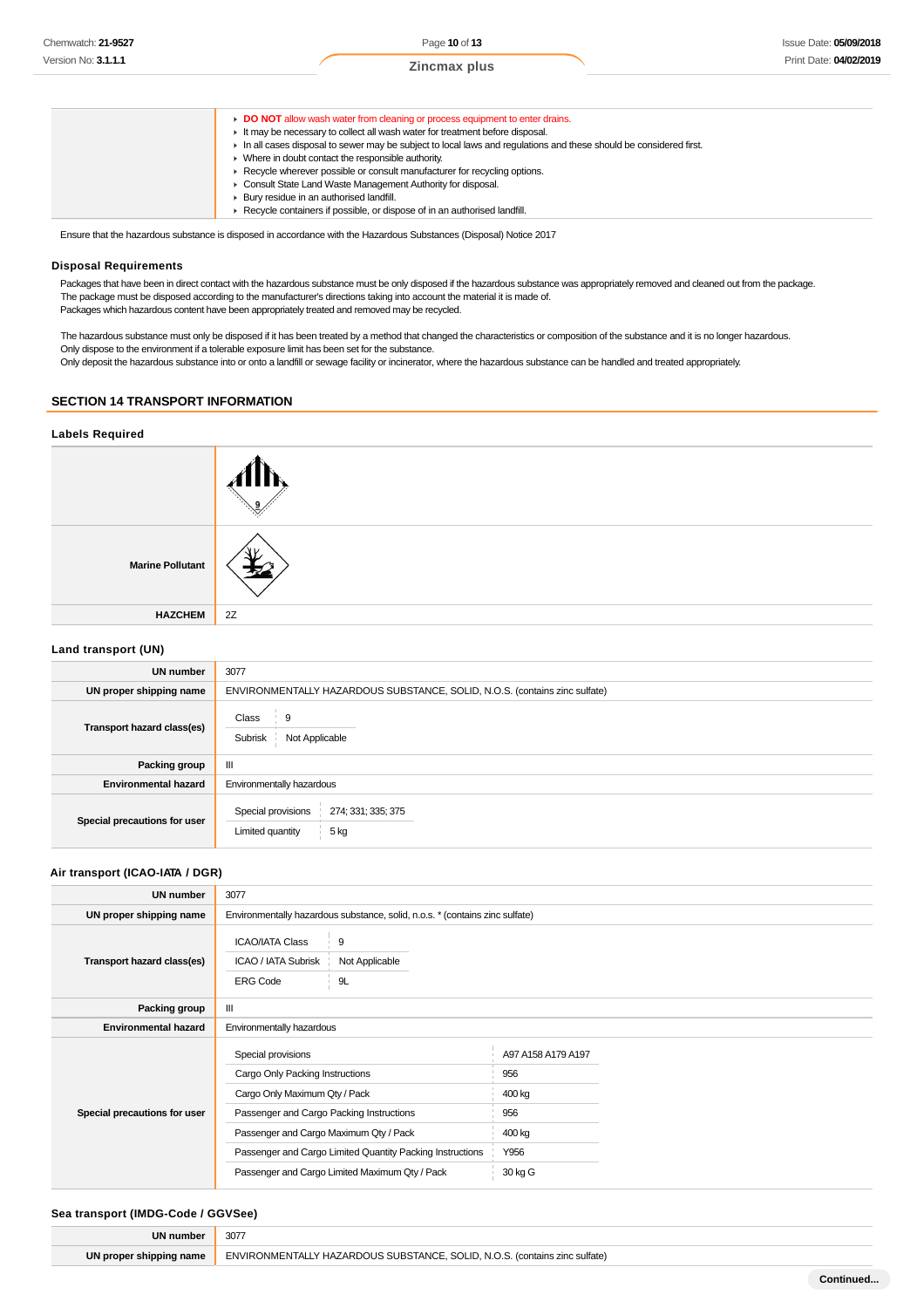

Ensure that the hazardous substance is disposed in accordance with the Hazardous Substances (Disposal) Notice 2017

#### **Disposal Requirements**

Packages that have been in direct contact with the hazardous substance must be only disposed if the hazardous substance was appropriately removed and cleaned out from the package. The package must be disposed according to the manufacturer's directions taking into account the material it is made of. Packages which hazardous content have been appropriately treated and removed may be recycled.

The hazardous substance must only be disposed if it has been treated by a method that changed the characteristics or composition of the substance and it is no longer hazardous. Only dispose to the environment if a tolerable exposure limit has been set for the substance. Only deposit the hazardous substance into or onto a landfill or sewage facility or incinerator, where the hazardous substance can be handled and treated appropriately.

## **SECTION 14 TRANSPORT INFORMATION**

| <b>Labels Required</b>  |    |  |
|-------------------------|----|--|
|                         |    |  |
| <b>Marine Pollutant</b> |    |  |
| <b>HAZCHEM</b>          | 2Z |  |
| Land transport (IIN)    |    |  |

#### **Land transport (UN)**

| <b>UN number</b>             | 3077                                                                       |  |
|------------------------------|----------------------------------------------------------------------------|--|
| UN proper shipping name      | ENVIRONMENTALLY HAZARDOUS SUBSTANCE, SOLID, N.O.S. (contains zinc sulfate) |  |
| Transport hazard class(es)   | Class<br>-9<br>Subrisk<br>Not Applicable                                   |  |
| Packing group                | Ш                                                                          |  |
| <b>Environmental hazard</b>  | Environmentally hazardous                                                  |  |
| Special precautions for user | Special provisions<br>274; 331; 335; 375<br>5 kg<br>Limited quantity       |  |

## **Air transport (ICAO-IATA / DGR)**

| <b>UN number</b>             | 3077                                                                                          |                                                                              |                    |  |
|------------------------------|-----------------------------------------------------------------------------------------------|------------------------------------------------------------------------------|--------------------|--|
| UN proper shipping name      |                                                                                               | Environmentally hazardous substance, solid, n.o.s. * (contains zinc sulfate) |                    |  |
| Transport hazard class(es)   | 9<br><b>ICAO/IATA Class</b><br>ICAO / IATA Subrisk<br>Not Applicable<br>9L<br><b>ERG Code</b> |                                                                              |                    |  |
| Packing group                | Ш                                                                                             |                                                                              |                    |  |
| <b>Environmental hazard</b>  | Environmentally hazardous                                                                     |                                                                              |                    |  |
|                              | Special provisions                                                                            |                                                                              | A97 A158 A179 A197 |  |
|                              | Cargo Only Packing Instructions                                                               |                                                                              | 956                |  |
| Special precautions for user | Cargo Only Maximum Qty / Pack                                                                 |                                                                              | 400 kg             |  |
|                              | Passenger and Cargo Packing Instructions                                                      |                                                                              | 956                |  |
|                              | Passenger and Cargo Maximum Qty / Pack                                                        |                                                                              | 400 kg             |  |
|                              | Passenger and Cargo Limited Quantity Packing Instructions                                     |                                                                              | Y956               |  |
|                              | Passenger and Cargo Limited Maximum Qty / Pack                                                |                                                                              | 30 kg G            |  |

## **Sea transport (IMDG-Code / GGVSee)**

| <b>UN number</b>        | 307                                                                        |
|-------------------------|----------------------------------------------------------------------------|
| UN proper shipping name | ENVIRONMENTALLY HAZARDOUS SUBSTANCE, SOLID, N.O.S. (contains zinc sulfate) |
|                         |                                                                            |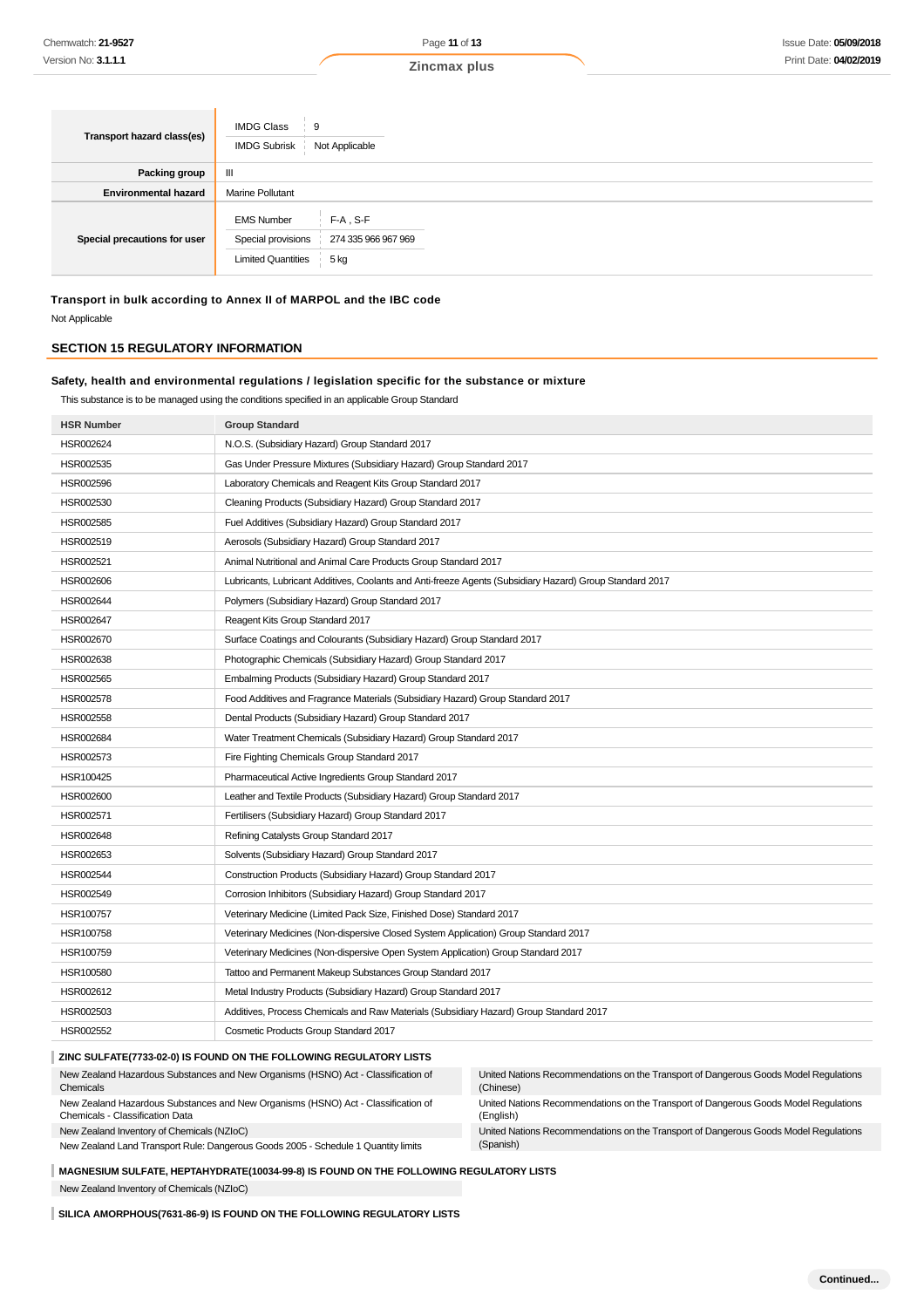| Transport hazard class(es)   | <b>IMDG Class</b><br>9<br><b>IMDG Subrisk</b><br>Not Applicable                                                    |
|------------------------------|--------------------------------------------------------------------------------------------------------------------|
| Packing group                | Ш                                                                                                                  |
| <b>Environmental hazard</b>  | <b>Marine Pollutant</b>                                                                                            |
| Special precautions for user | <b>EMS Number</b><br>$F-A$ , S-F<br>Special provisions<br>274 335 966 967 969<br><b>Limited Quantities</b><br>5 kg |

**Transport in bulk according to Annex II of MARPOL and the IBC code** Not Applicable

## **SECTION 15 REGULATORY INFORMATION**

## **Safety, health and environmental regulations / legislation specific for the substance or mixture**

This substance is to be managed using the conditions specified in an applicable Group Standard

| <b>HSR Number</b> | <b>Group Standard</b>                                                                                    |
|-------------------|----------------------------------------------------------------------------------------------------------|
| HSR002624         | N.O.S. (Subsidiary Hazard) Group Standard 2017                                                           |
| HSR002535         | Gas Under Pressure Mixtures (Subsidiary Hazard) Group Standard 2017                                      |
| HSR002596         | Laboratory Chemicals and Reagent Kits Group Standard 2017                                                |
| HSR002530         | Cleaning Products (Subsidiary Hazard) Group Standard 2017                                                |
| HSR002585         | Fuel Additives (Subsidiary Hazard) Group Standard 2017                                                   |
| HSR002519         | Aerosols (Subsidiary Hazard) Group Standard 2017                                                         |
| HSR002521         | Animal Nutritional and Animal Care Products Group Standard 2017                                          |
| HSR002606         | Lubricants, Lubricant Additives, Coolants and Anti-freeze Agents (Subsidiary Hazard) Group Standard 2017 |
| HSR002644         | Polymers (Subsidiary Hazard) Group Standard 2017                                                         |
| HSR002647         | Reagent Kits Group Standard 2017                                                                         |
| HSR002670         | Surface Coatings and Colourants (Subsidiary Hazard) Group Standard 2017                                  |
| HSR002638         | Photographic Chemicals (Subsidiary Hazard) Group Standard 2017                                           |
| HSR002565         | Embalming Products (Subsidiary Hazard) Group Standard 2017                                               |
| <b>HSR002578</b>  | Food Additives and Fragrance Materials (Subsidiary Hazard) Group Standard 2017                           |
| HSR002558         | Dental Products (Subsidiary Hazard) Group Standard 2017                                                  |
| HSR002684         | Water Treatment Chemicals (Subsidiary Hazard) Group Standard 2017                                        |
| HSR002573         | Fire Fighting Chemicals Group Standard 2017                                                              |
| HSR100425         | Pharmaceutical Active Ingredients Group Standard 2017                                                    |
| HSR002600         | Leather and Textile Products (Subsidiary Hazard) Group Standard 2017                                     |
| HSR002571         | Fertilisers (Subsidiary Hazard) Group Standard 2017                                                      |
| HSR002648         | Refining Catalysts Group Standard 2017                                                                   |
| HSR002653         | Solvents (Subsidiary Hazard) Group Standard 2017                                                         |
| HSR002544         | Construction Products (Subsidiary Hazard) Group Standard 2017                                            |
| HSR002549         | Corrosion Inhibitors (Subsidiary Hazard) Group Standard 2017                                             |
| HSR100757         | Veterinary Medicine (Limited Pack Size, Finished Dose) Standard 2017                                     |
| HSR100758         | Veterinary Medicines (Non-dispersive Closed System Application) Group Standard 2017                      |
| HSR100759         | Veterinary Medicines (Non-dispersive Open System Application) Group Standard 2017                        |
| HSR100580         | Tattoo and Permanent Makeup Substances Group Standard 2017                                               |
| HSR002612         | Metal Industry Products (Subsidiary Hazard) Group Standard 2017                                          |
| HSR002503         | Additives, Process Chemicals and Raw Materials (Subsidiary Hazard) Group Standard 2017                   |
| HSR002552         | Cosmetic Products Group Standard 2017                                                                    |
|                   | ZINC SULFATE(7733-02-0) IS FOUND ON THE FOLLOWING REGULATORY LISTS                                       |

| New Zealand Hazardous Substances and New Organisms (HSNO) Act - Classification of<br>Chemicals                       | United Nations Recommendations on the Transport of Dangerous Goods Model Regulations<br>(Chinese) |
|----------------------------------------------------------------------------------------------------------------------|---------------------------------------------------------------------------------------------------|
| New Zealand Hazardous Substances and New Organisms (HSNO) Act - Classification of<br>Chemicals - Classification Data | United Nations Recommendations on the Transport of Dangerous Goods Model Regulations<br>(Enalish) |
| New Zealand Inventory of Chemicals (NZIoC)                                                                           | United Nations Recommendations on the Transport of Dangerous Goods Model Regulations              |
| New Zealand Land Transport Rule: Dangerous Goods 2005 - Schedule 1 Quantity limits                                   | (Spanish)                                                                                         |
|                                                                                                                      |                                                                                                   |

**MAGNESIUM SULFATE, HEPTAHYDRATE(10034-99-8) IS FOUND ON THE FOLLOWING REGULATORY LISTS**

New Zealand Inventory of Chemicals (NZIoC)

**SILICA AMORPHOUS(7631-86-9) IS FOUND ON THE FOLLOWING REGULATORY LISTS**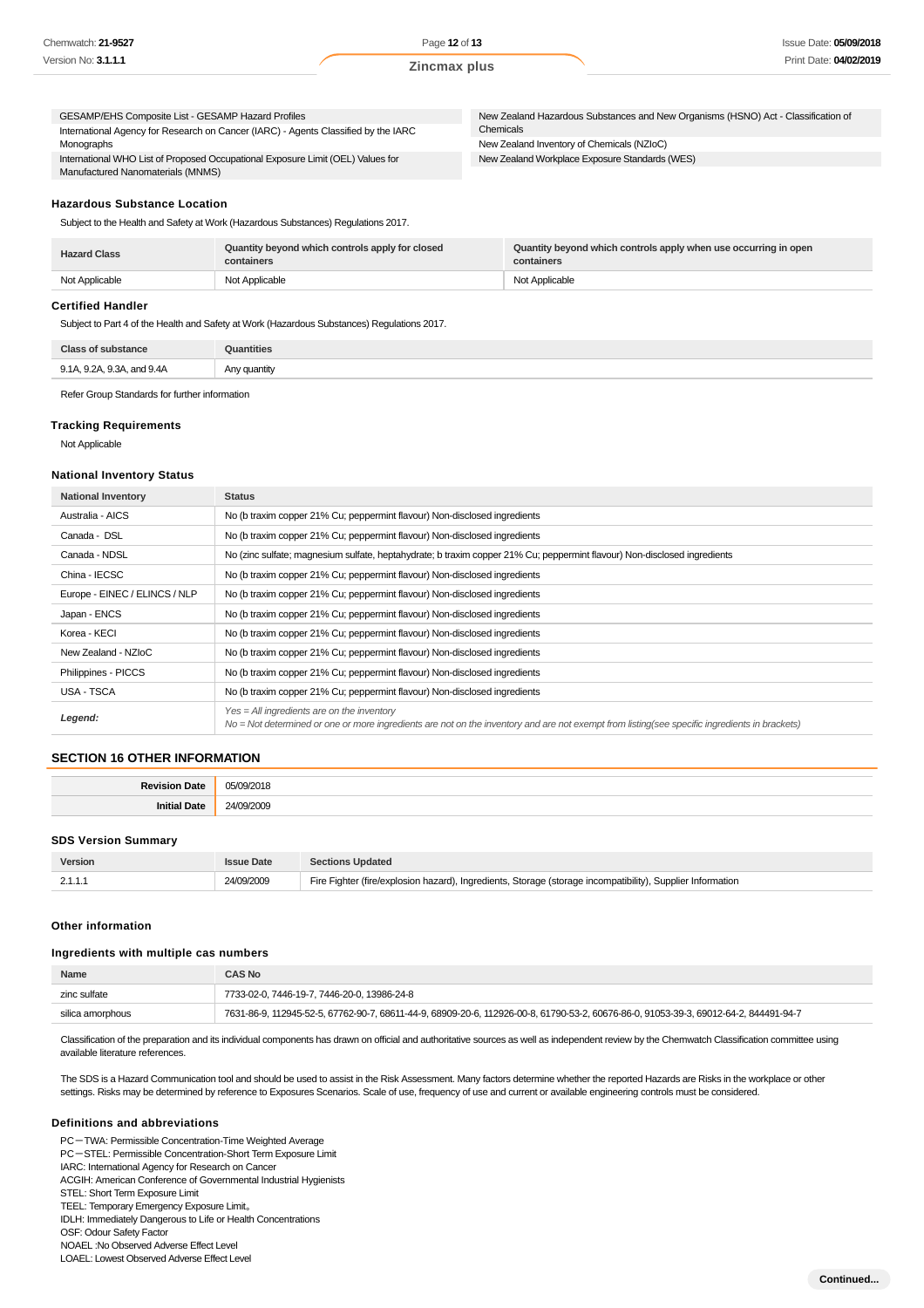| GESAMP/EHS Composite List - GESAMP Hazard Profiles                                 | New Zealand Hazardous Substances and New Organisms (HSNO) Act - Classification of |
|------------------------------------------------------------------------------------|-----------------------------------------------------------------------------------|
| International Agency for Research on Cancer (IARC) - Agents Classified by the IARC | Chemicals                                                                         |
| Monographs                                                                         | New Zealand Inventory of Chemicals (NZIoC)                                        |
| International WHO List of Proposed Occupational Exposure Limit (OEL) Values for    | New Zealand Workplace Exposure Standards (WES)                                    |
| Manufactured Nanomaterials (MNMS)                                                  |                                                                                   |
|                                                                                    |                                                                                   |

#### **Hazardous Substance Location**

Subject to the Health and Safety at Work (Hazardous Substances) Regulations 2017.

| <b>Hazard Class</b> | Quantity beyond which controls apply for closed<br>containers | Quantity beyond which controls apply when use occurring in open<br>containers |
|---------------------|---------------------------------------------------------------|-------------------------------------------------------------------------------|
| Not Applicable      | Not Applicable                                                | Not Applicable                                                                |

## **Certified Handler**

Subject to Part 4 of the Health and Safety at Work (Hazardous Substances) Regulations 2017.

| Close:                                                             |          |
|--------------------------------------------------------------------|----------|
| 9.1A. 9.2A. 9.3A<br>and 9 4 A<br>$\cup$<br>$\sim$<br>$\sim$ $\sim$ | guantity |

Refer Group Standards for further information

#### **Tracking Requirements**

Not Applicable

#### **National Inventory Status**

| <b>National Inventory</b>     | <b>Status</b>                                                                                                                                                                                 |
|-------------------------------|-----------------------------------------------------------------------------------------------------------------------------------------------------------------------------------------------|
| Australia - AICS              | No (b traxim copper 21% Cu; peppermint flavour) Non-disclosed ingredients                                                                                                                     |
| Canada - DSL                  | No (b traxim copper 21% Cu; peppermint flavour) Non-disclosed ingredients                                                                                                                     |
| Canada - NDSL                 | No (zinc sulfate; magnesium sulfate, heptahydrate; b traxim copper 21% Cu; peppermint flavour) Non-disclosed ingredients                                                                      |
| China - IECSC                 | No (b traxim copper 21% Cu; peppermint flavour) Non-disclosed ingredients                                                                                                                     |
| Europe - EINEC / ELINCS / NLP | No (b traxim copper 21% Cu; peppermint flavour) Non-disclosed ingredients                                                                                                                     |
| Japan - ENCS                  | No (b traxim copper 21% Cu; peppermint flavour) Non-disclosed ingredients                                                                                                                     |
| Korea - KECI                  | No (b traxim copper 21% Cu; peppermint flavour) Non-disclosed ingredients                                                                                                                     |
| New Zealand - NZIoC           | No (b traxim copper 21% Cu; peppermint flavour) Non-disclosed ingredients                                                                                                                     |
| Philippines - PICCS           | No (b traxim copper 21% Cu; peppermint flavour) Non-disclosed ingredients                                                                                                                     |
| USA - TSCA                    | No (b traxim copper 21% Cu; peppermint flavour) Non-disclosed ingredients                                                                                                                     |
| Legend:                       | $Yes = All ingredients are on the inventory$<br>No = Not determined or one or more ingredients are not on the inventory and are not exempt from listing(see specific ingredients in brackets) |

## **SECTION 16 OTHER INFORMATION**

| . | 2011 Y<br>m.<br>. |
|---|-------------------|
|   | -<br>.            |

## **SDS Version Summary**

| Version | <b>Issue Date</b> | <b>Sections Updated</b>                                                                                    |
|---------|-------------------|------------------------------------------------------------------------------------------------------------|
| 2.1.1.1 | 24/09/2009        | Fire Fighter (fire/explosion hazard), Ingredients, Storage (storage incompatibility), Supplier Information |

#### **Other information**

#### **Ingredients with multiple cas numbers**

| <b>Name</b>      | <b>CAS No</b>                                                                                                                        |
|------------------|--------------------------------------------------------------------------------------------------------------------------------------|
| zinc sulfate     | 7733-02-0, 7446-19-7, 7446-20-0, 13986-24-8                                                                                          |
| silica amorphous | 7631-86-9, 112945-52-5, 67762-90-7, 68611-44-9, 68909-20-6, 112926-00-8, 61790-53-2, 60676-86-0, 91053-39-3, 69012-64-2, 844491-94-7 |

Classification of the preparation and its individual components has drawn on official and authoritative sources as well as independent review by the Chemwatch Classification committee using available literature references.

The SDS is a Hazard Communication tool and should be used to assist in the Risk Assessment. Many factors determine whether the reported Hazards are Risks in the workplace or other settings. Risks may be determined by reference to Exposures Scenarios. Scale of use, frequency of use and current or available engineering controls must be considered.

#### **Definitions and abbreviations**

PC-TWA: Permissible Concentration-Time Weighted Average

PC-STEL: Permissible Concentration-Short Term Exposure Limit

IARC: International Agency for Research on Cancer

ACGIH: American Conference of Governmental Industrial Hygienists

STEL: Short Term Exposure Limit TEEL: Temporary Emergency Exposure Limit。

IDLH: Immediately Dangerous to Life or Health Concentrations

OSF: Odour Safety Factor

NOAEL :No Observed Adverse Effect Level

LOAEL: Lowest Observed Adverse Effect Level